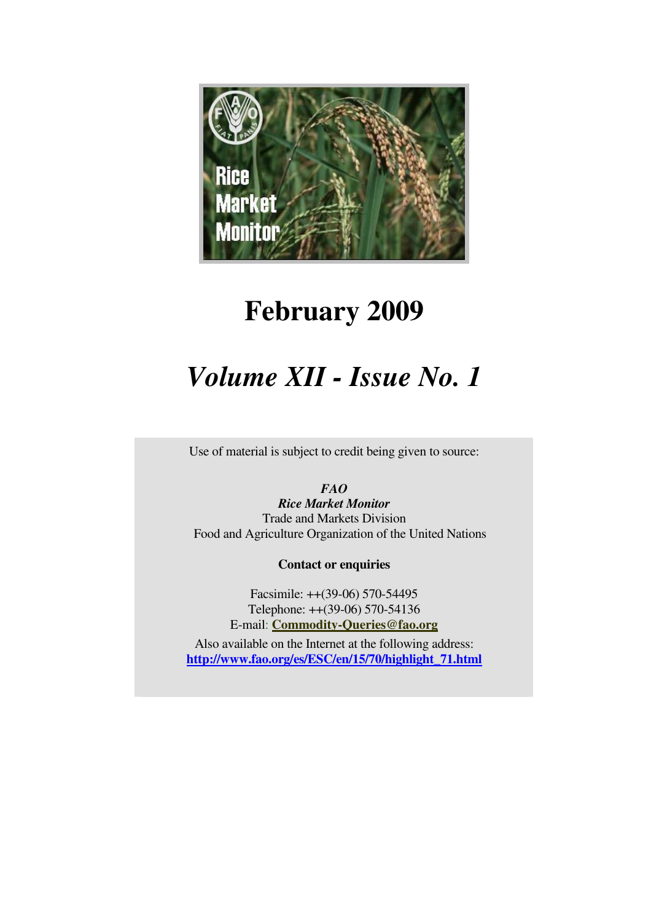

# **February 2009**

# *Volume XII - Issue No. 1*

Use of material is subject to credit being given to source:

*FAO* 

*Rice Market Monitor*  Trade and Markets Division Food and Agriculture Organization of the United Nations

**Contact or enquiries**

Facsimile: ++(39-06) 570-54495 Telephone: ++(39-06) 570-54136 E-mail: **Commodity-Queries@fao.org**

Also available on the Internet at the following address: **http://www.fao.org/es/ESC/en/15/70/highlight\_71.html**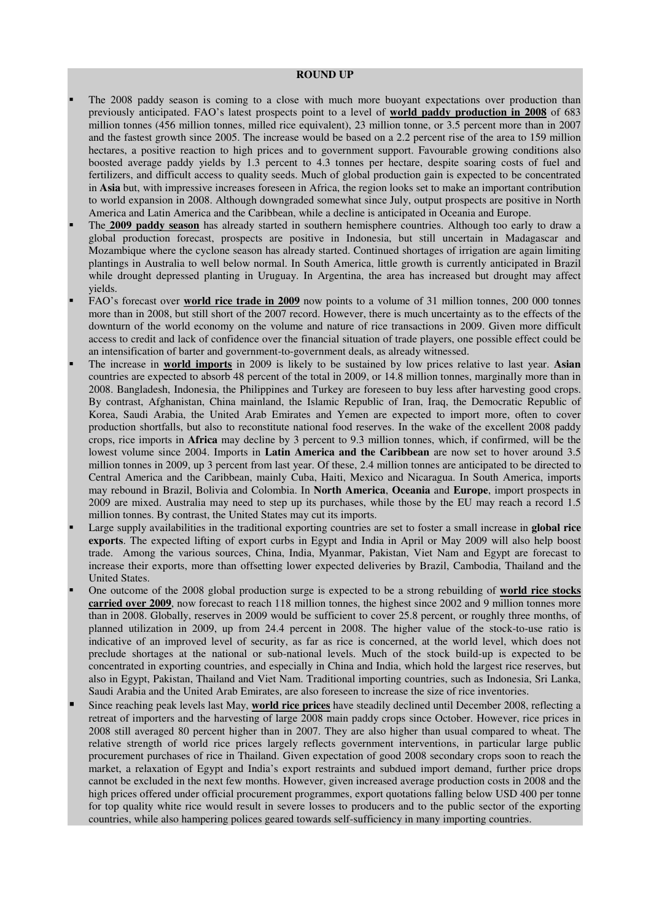#### **ROUND UP**

- The 2008 paddy season is coming to a close with much more buoyant expectations over production than previously anticipated. FAO's latest prospects point to a level of **world paddy production in 2008** of 683 million tonnes (456 million tonnes, milled rice equivalent), 23 million tonne, or 3.5 percent more than in 2007 and the fastest growth since 2005. The increase would be based on a 2.2 percent rise of the area to 159 million hectares, a positive reaction to high prices and to government support. Favourable growing conditions also boosted average paddy yields by 1.3 percent to 4.3 tonnes per hectare, despite soaring costs of fuel and fertilizers, and difficult access to quality seeds. Much of global production gain is expected to be concentrated in **Asia** but, with impressive increases foreseen in Africa, the region looks set to make an important contribution to world expansion in 2008. Although downgraded somewhat since July, output prospects are positive in North America and Latin America and the Caribbean, while a decline is anticipated in Oceania and Europe.
- The **2009 paddy season** has already started in southern hemisphere countries. Although too early to draw a global production forecast, prospects are positive in Indonesia, but still uncertain in Madagascar and Mozambique where the cyclone season has already started. Continued shortages of irrigation are again limiting plantings in Australia to well below normal. In South America, little growth is currently anticipated in Brazil while drought depressed planting in Uruguay. In Argentina, the area has increased but drought may affect yields.
- FAO's forecast over **world rice trade in 2009** now points to a volume of 31 million tonnes, 200 000 tonnes more than in 2008, but still short of the 2007 record. However, there is much uncertainty as to the effects of the downturn of the world economy on the volume and nature of rice transactions in 2009. Given more difficult access to credit and lack of confidence over the financial situation of trade players, one possible effect could be an intensification of barter and government-to-government deals, as already witnessed.
- The increase in **world imports** in 2009 is likely to be sustained by low prices relative to last year. **Asian** countries are expected to absorb 48 percent of the total in 2009, or 14.8 million tonnes, marginally more than in 2008. Bangladesh, Indonesia, the Philippines and Turkey are foreseen to buy less after harvesting good crops. By contrast, Afghanistan, China mainland, the Islamic Republic of Iran, Iraq, the Democratic Republic of Korea, Saudi Arabia, the United Arab Emirates and Yemen are expected to import more, often to cover production shortfalls, but also to reconstitute national food reserves. In the wake of the excellent 2008 paddy crops, rice imports in **Africa** may decline by 3 percent to 9.3 million tonnes, which, if confirmed, will be the lowest volume since 2004. Imports in **Latin America and the Caribbean** are now set to hover around 3.5 million tonnes in 2009, up 3 percent from last year. Of these, 2.4 million tonnes are anticipated to be directed to Central America and the Caribbean, mainly Cuba, Haiti, Mexico and Nicaragua. In South America, imports may rebound in Brazil, Bolivia and Colombia. In **North America**, **Oceania** and **Europe**, import prospects in 2009 are mixed. Australia may need to step up its purchases, while those by the EU may reach a record 1.5 million tonnes. By contrast, the United States may cut its imports.
- Large supply availabilities in the traditional exporting countries are set to foster a small increase in **global rice exports**. The expected lifting of export curbs in Egypt and India in April or May 2009 will also help boost trade. Among the various sources, China, India, Myanmar, Pakistan, Viet Nam and Egypt are forecast to increase their exports, more than offsetting lower expected deliveries by Brazil, Cambodia, Thailand and the United States.
- One outcome of the 2008 global production surge is expected to be a strong rebuilding of **world rice stocks carried over 2009**, now forecast to reach 118 million tonnes, the highest since 2002 and 9 million tonnes more than in 2008. Globally, reserves in 2009 would be sufficient to cover 25.8 percent, or roughly three months, of planned utilization in 2009, up from 24.4 percent in 2008. The higher value of the stock-to-use ratio is indicative of an improved level of security, as far as rice is concerned, at the world level, which does not preclude shortages at the national or sub-national levels. Much of the stock build-up is expected to be concentrated in exporting countries, and especially in China and India, which hold the largest rice reserves, but also in Egypt, Pakistan, Thailand and Viet Nam. Traditional importing countries, such as Indonesia, Sri Lanka, Saudi Arabia and the United Arab Emirates, are also foreseen to increase the size of rice inventories.
- Since reaching peak levels last May, **world rice prices** have steadily declined until December 2008, reflecting a retreat of importers and the harvesting of large 2008 main paddy crops since October. However, rice prices in 2008 still averaged 80 percent higher than in 2007. They are also higher than usual compared to wheat. The relative strength of world rice prices largely reflects government interventions, in particular large public procurement purchases of rice in Thailand. Given expectation of good 2008 secondary crops soon to reach the market, a relaxation of Egypt and India's export restraints and subdued import demand, further price drops cannot be excluded in the next few months. However, given increased average production costs in 2008 and the high prices offered under official procurement programmes, export quotations falling below USD 400 per tonne for top quality white rice would result in severe losses to producers and to the public sector of the exporting countries, while also hampering polices geared towards self-sufficiency in many importing countries.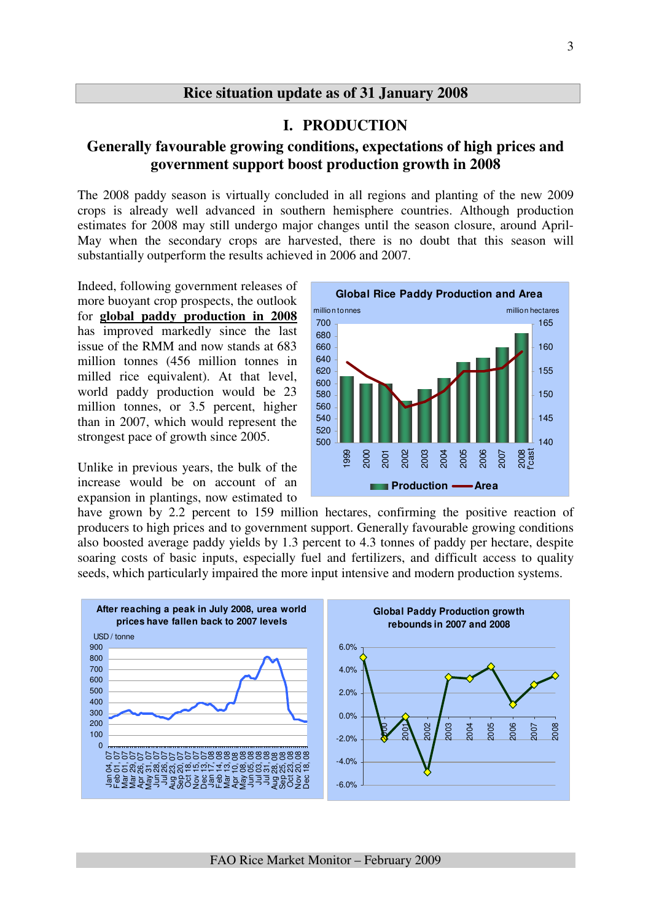## **Rice situation update as of 31 January 2008**

## **I. PRODUCTION**

## **Generally favourable growing conditions, expectations of high prices and government support boost production growth in 2008**

The 2008 paddy season is virtually concluded in all regions and planting of the new 2009 crops is already well advanced in southern hemisphere countries. Although production estimates for 2008 may still undergo major changes until the season closure, around April-May when the secondary crops are harvested, there is no doubt that this season will substantially outperform the results achieved in 2006 and 2007.

Indeed, following government releases of more buoyant crop prospects, the outlook for **global paddy production in 2008** has improved markedly since the last issue of the RMM and now stands at 683 million tonnes (456 million tonnes in milled rice equivalent). At that level, world paddy production would be 23 million tonnes, or 3.5 percent, higher than in 2007, which would represent the strongest pace of growth since 2005.

Unlike in previous years, the bulk of the increase would be on account of an expansion in plantings, now estimated to



have grown by 2.2 percent to 159 million hectares, confirming the positive reaction of producers to high prices and to government support. Generally favourable growing conditions also boosted average paddy yields by 1.3 percent to 4.3 tonnes of paddy per hectare, despite soaring costs of basic inputs, especially fuel and fertilizers, and difficult access to quality seeds, which particularly impaired the more input intensive and modern production systems.

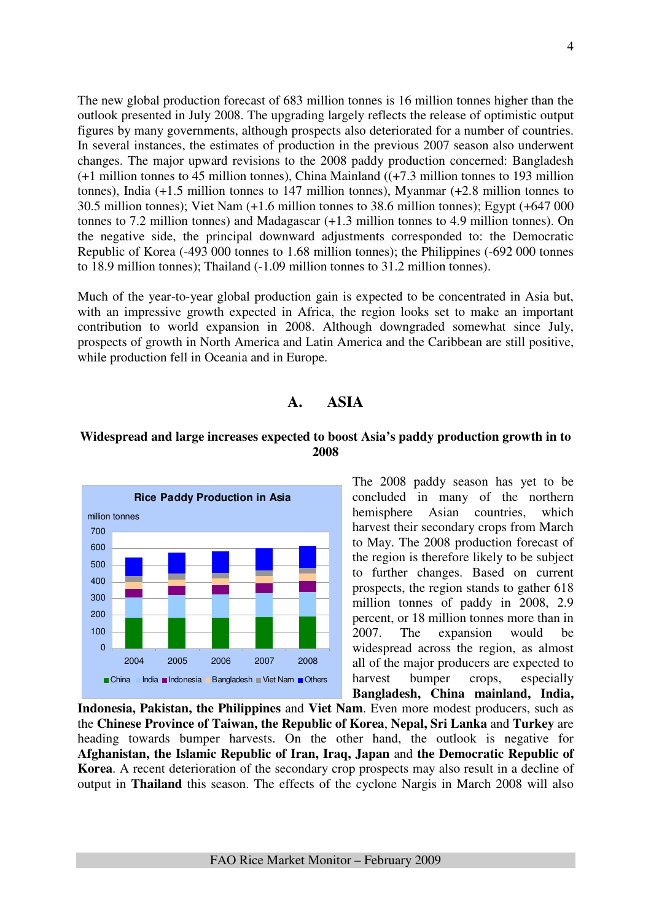The new global production forecast of 683 million tonnes is 16 million tonnes higher than the outlook presented in July 2008. The upgrading largely reflects the release of optimistic output figures by many governments, although prospects also deteriorated for a number of countries. In several instances, the estimates of production in the previous 2007 season also underwent changes. The major upward revisions to the 2008 paddy production concerned: Bangladesh (+1 million tonnes to 45 million tonnes), China Mainland ((+7.3 million tonnes to 193 million tonnes), India (+1.5 million tonnes to 147 million tonnes), Myanmar (+2.8 million tonnes to 30.5 million tonnes); Viet Nam (+1.6 million tonnes to 38.6 million tonnes); Egypt (+647 000 tonnes to 7.2 million tonnes) and Madagascar (+1.3 million tonnes to 4.9 million tonnes). On the negative side, the principal downward adjustments corresponded to: the Democratic Republic of Korea (-493 000 tonnes to 1.68 million tonnes); the Philippines (-692 000 tonnes to 18.9 million tonnes); Thailand (-1.09 million tonnes to 31.2 million tonnes).

Much of the year-to-year global production gain is expected to be concentrated in Asia but, with an impressive growth expected in Africa, the region looks set to make an important contribution to world expansion in 2008. Although downgraded somewhat since July, prospects of growth in North America and Latin America and the Caribbean are still positive, while production fell in Oceania and in Europe.

## **A. ASIA**

### **Widespread and large increases expected to boost Asia's paddy production growth in to 2008**



The 2008 paddy season has yet to be concluded in many of the northern hemisphere Asian countries, which harvest their secondary crops from March to May. The 2008 production forecast of the region is therefore likely to be subject to further changes. Based on current prospects, the region stands to gather 618 million tonnes of paddy in 2008, 2.9 percent, or 18 million tonnes more than in 2007. The expansion would be widespread across the region, as almost all of the major producers are expected to harvest bumper crops, especially **Bangladesh, China mainland, India,** 

**Indonesia, Pakistan, the Philippines** and **Viet Nam**. Even more modest producers, such as the **Chinese Province of Taiwan, the Republic of Korea**, **Nepal, Sri Lanka** and **Turkey** are heading towards bumper harvests. On the other hand, the outlook is negative for **Afghanistan, the Islamic Republic of Iran, Iraq, Japan** and **the Democratic Republic of Korea**. A recent deterioration of the secondary crop prospects may also result in a decline of output in **Thailand** this season. The effects of the cyclone Nargis in March 2008 will also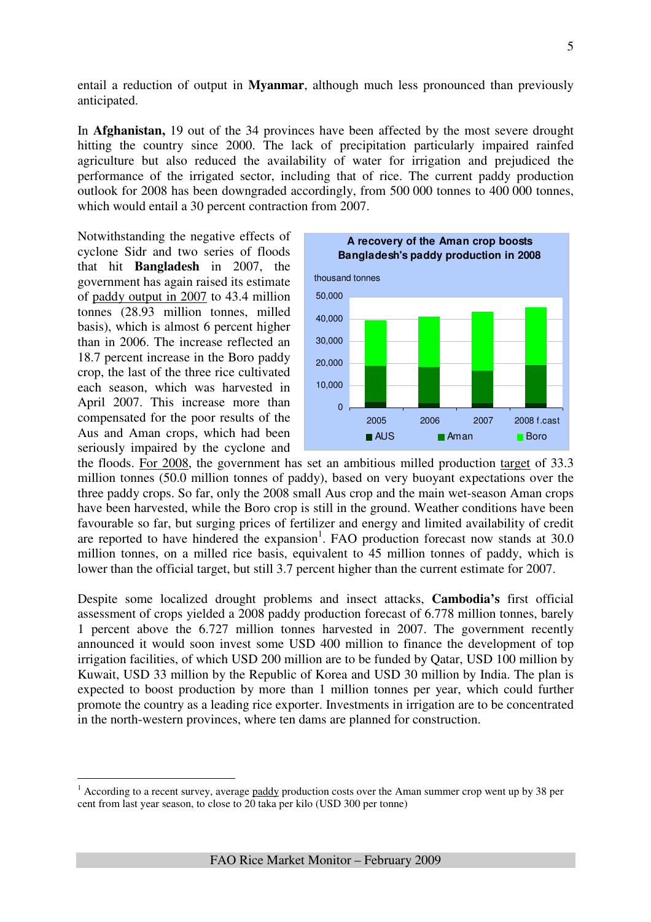entail a reduction of output in **Myanmar**, although much less pronounced than previously anticipated.

In **Afghanistan,** 19 out of the 34 provinces have been affected by the most severe drought hitting the country since 2000. The lack of precipitation particularly impaired rainfed agriculture but also reduced the availability of water for irrigation and prejudiced the performance of the irrigated sector, including that of rice. The current paddy production outlook for 2008 has been downgraded accordingly, from 500 000 tonnes to 400 000 tonnes, which would entail a 30 percent contraction from 2007.

Notwithstanding the negative effects of cyclone Sidr and two series of floods that hit **Bangladesh** in 2007, the government has again raised its estimate of paddy output in 2007 to 43.4 million tonnes (28.93 million tonnes, milled basis), which is almost 6 percent higher than in 2006. The increase reflected an 18.7 percent increase in the Boro paddy crop, the last of the three rice cultivated each season, which was harvested in April 2007. This increase more than compensated for the poor results of the Aus and Aman crops, which had been seriously impaired by the cyclone and

 $\overline{a}$ 



the floods. For 2008, the government has set an ambitious milled production target of 33.3 million tonnes (50.0 million tonnes of paddy), based on very buoyant expectations over the three paddy crops. So far, only the 2008 small Aus crop and the main wet-season Aman crops have been harvested, while the Boro crop is still in the ground. Weather conditions have been favourable so far, but surging prices of fertilizer and energy and limited availability of credit are reported to have hindered the expansion<sup>1</sup>. FAO production forecast now stands at  $30.0$ million tonnes, on a milled rice basis, equivalent to 45 million tonnes of paddy, which is lower than the official target, but still 3.7 percent higher than the current estimate for 2007.

Despite some localized drought problems and insect attacks, **Cambodia's** first official assessment of crops yielded a 2008 paddy production forecast of 6.778 million tonnes, barely 1 percent above the 6.727 million tonnes harvested in 2007. The government recently announced it would soon invest some USD 400 million to finance the development of top irrigation facilities, of which USD 200 million are to be funded by Qatar, USD 100 million by Kuwait, USD 33 million by the Republic of Korea and USD 30 million by India. The plan is expected to boost production by more than 1 million tonnes per year, which could further promote the country as a leading rice exporter. Investments in irrigation are to be concentrated in the north-western provinces, where ten dams are planned for construction.

 $1$  According to a recent survey, average paddy production costs over the Aman summer crop went up by 38 per cent from last year season, to close to 20 taka per kilo (USD 300 per tonne)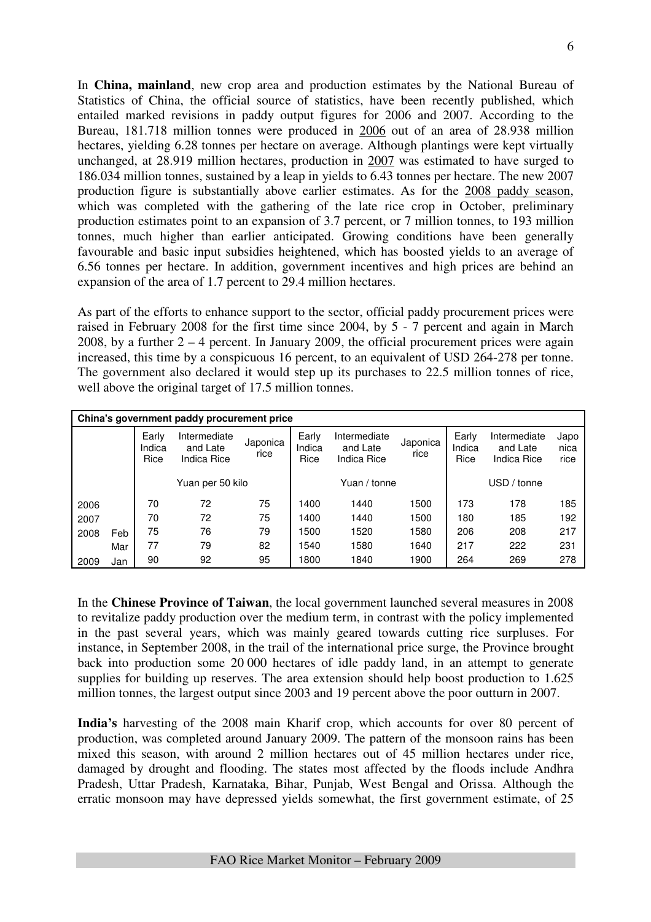In **China, mainland**, new crop area and production estimates by the National Bureau of Statistics of China, the official source of statistics, have been recently published, which entailed marked revisions in paddy output figures for 2006 and 2007. According to the Bureau, 181.718 million tonnes were produced in 2006 out of an area of 28.938 million hectares, yielding 6.28 tonnes per hectare on average. Although plantings were kept virtually unchanged, at 28.919 million hectares, production in 2007 was estimated to have surged to 186.034 million tonnes, sustained by a leap in yields to 6.43 tonnes per hectare. The new 2007 production figure is substantially above earlier estimates. As for the 2008 paddy season, which was completed with the gathering of the late rice crop in October, preliminary production estimates point to an expansion of 3.7 percent, or 7 million tonnes, to 193 million tonnes, much higher than earlier anticipated. Growing conditions have been generally favourable and basic input subsidies heightened, which has boosted yields to an average of 6.56 tonnes per hectare. In addition, government incentives and high prices are behind an expansion of the area of 1.7 percent to 29.4 million hectares.

As part of the efforts to enhance support to the sector, official paddy procurement prices were raised in February 2008 for the first time since 2004, by 5 - 7 percent and again in March 2008, by a further  $2 - 4$  percent. In January 2009, the official procurement prices were again increased, this time by a conspicuous 16 percent, to an equivalent of USD 264-278 per tonne. The government also declared it would step up its purchases to 22.5 million tonnes of rice, well above the original target of 17.5 million tonnes.

|      | China's government paddy procurement price |                         |                                         |                  |                         |                                         |                  |                         |                                         |                      |  |  |  |
|------|--------------------------------------------|-------------------------|-----------------------------------------|------------------|-------------------------|-----------------------------------------|------------------|-------------------------|-----------------------------------------|----------------------|--|--|--|
|      |                                            | Early<br>Indica<br>Rice | Intermediate<br>and Late<br>Indica Rice | Japonica<br>rice | Early<br>Indica<br>Rice | Intermediate<br>and Late<br>Indica Rice | Japonica<br>rice | Early<br>Indica<br>Rice | Intermediate<br>and Late<br>Indica Rice | Japo<br>nica<br>rice |  |  |  |
|      |                                            |                         | Yuan per 50 kilo                        |                  |                         | Yuan / tonne                            |                  | USD / tonne             |                                         |                      |  |  |  |
| 2006 |                                            | 70                      | 72                                      | 75               | 1400                    | 1440                                    | 1500             | 173                     | 178                                     | 185                  |  |  |  |
| 2007 |                                            | 70                      | 72                                      | 75               | 1400                    | 1440                                    | 1500             | 180                     | 185                                     | 192                  |  |  |  |
| 2008 | Feb                                        | 75                      | 76                                      | 79               | 1500                    | 1520                                    | 1580             | 206                     | 208                                     | 217                  |  |  |  |
|      | Mar                                        | 77                      | 79                                      | 82               | 1540                    | 1580                                    | 1640             | 217                     | 222                                     | 231                  |  |  |  |
| 2009 | Jan                                        | 90                      | 92                                      | 95               | 1800                    | 1840                                    | 1900             | 264                     | 269                                     | 278                  |  |  |  |

In the **Chinese Province of Taiwan**, the local government launched several measures in 2008 to revitalize paddy production over the medium term, in contrast with the policy implemented in the past several years, which was mainly geared towards cutting rice surpluses. For instance, in September 2008, in the trail of the international price surge, the Province brought back into production some 20 000 hectares of idle paddy land, in an attempt to generate supplies for building up reserves. The area extension should help boost production to 1.625 million tonnes, the largest output since 2003 and 19 percent above the poor outturn in 2007.

**India's** harvesting of the 2008 main Kharif crop, which accounts for over 80 percent of production, was completed around January 2009. The pattern of the monsoon rains has been mixed this season, with around 2 million hectares out of 45 million hectares under rice, damaged by drought and flooding. The states most affected by the floods include Andhra Pradesh, Uttar Pradesh, Karnataka, Bihar, Punjab, West Bengal and Orissa. Although the erratic monsoon may have depressed yields somewhat, the first government estimate, of 25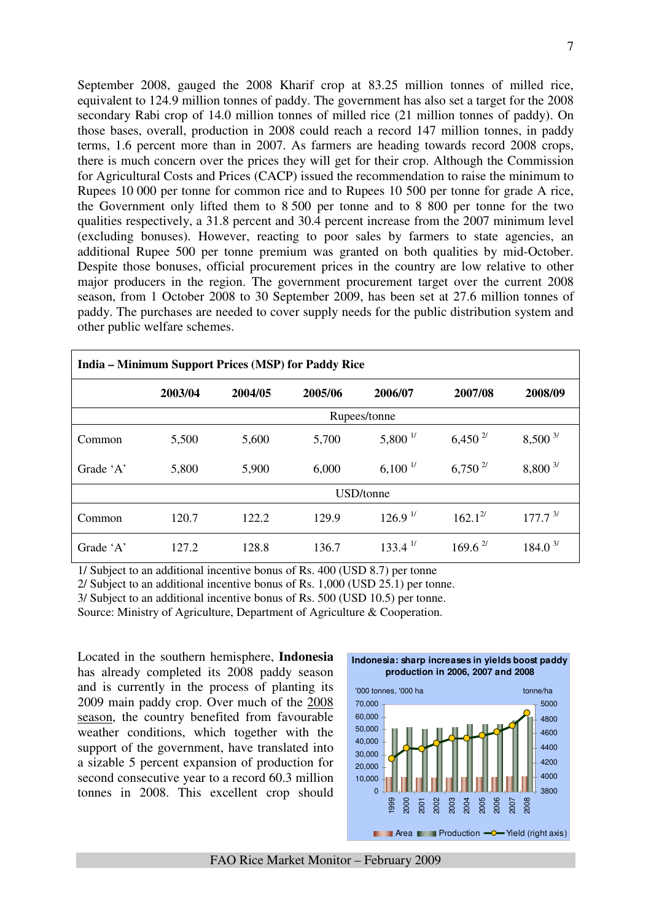September 2008, gauged the 2008 Kharif crop at 83.25 million tonnes of milled rice, equivalent to 124.9 million tonnes of paddy. The government has also set a target for the 2008 secondary Rabi crop of 14.0 million tonnes of milled rice (21 million tonnes of paddy). On those bases, overall, production in 2008 could reach a record 147 million tonnes, in paddy terms, 1.6 percent more than in 2007. As farmers are heading towards record 2008 crops, there is much concern over the prices they will get for their crop. Although the Commission for Agricultural Costs and Prices (CACP) issued the recommendation to raise the minimum to Rupees 10 000 per tonne for common rice and to Rupees 10 500 per tonne for grade A rice, the Government only lifted them to 8 500 per tonne and to 8 800 per tonne for the two qualities respectively, a 31.8 percent and 30.4 percent increase from the 2007 minimum level (excluding bonuses). However, reacting to poor sales by farmers to state agencies, an additional Rupee 500 per tonne premium was granted on both qualities by mid-October. Despite those bonuses, official procurement prices in the country are low relative to other major producers in the region. The government procurement target over the current 2008 season, from 1 October 2008 to 30 September 2009, has been set at 27.6 million tonnes of paddy. The purchases are needed to cover supply needs for the public distribution system and other public welfare schemes.

| <b>India – Minimum Support Prices (MSP) for Paddy Rice</b> |              |         |         |                       |                       |                     |  |  |  |  |  |  |
|------------------------------------------------------------|--------------|---------|---------|-----------------------|-----------------------|---------------------|--|--|--|--|--|--|
|                                                            | 2003/04      | 2004/05 | 2005/06 | 2006/07               | 2007/08               | 2008/09             |  |  |  |  |  |  |
|                                                            | Rupees/tonne |         |         |                       |                       |                     |  |  |  |  |  |  |
| Common                                                     | 5,500        | 5,600   | 5,700   | $5,800^{1/2}$         | $6,450^{27}$          | $8,500^{3/}$        |  |  |  |  |  |  |
| Grade 'A'                                                  | 5,800        | 5,900   | 6,000   | $6,100^{1/2}$         | $6,750^{27}$          | $8,800^{3/}$        |  |  |  |  |  |  |
|                                                            |              |         |         | USD/tonne             |                       |                     |  |  |  |  |  |  |
| Common                                                     | 120.7        | 122.2   | 129.9   | 126.9 <sup>17</sup>   | $162.1^{27}$          | 177.7 <sup>3/</sup> |  |  |  |  |  |  |
| Grade 'A'                                                  | 127.2        | 128.8   | 136.7   | $133.4$ <sup>1/</sup> | $169.6$ <sup>2/</sup> | 184.0 <sup>3</sup>  |  |  |  |  |  |  |

1/ Subject to an additional incentive bonus of Rs. 400 (USD 8.7) per tonne

2/ Subject to an additional incentive bonus of Rs. 1,000 (USD 25.1) per tonne.

3/ Subject to an additional incentive bonus of Rs. 500 (USD 10.5) per tonne.

Source: Ministry of Agriculture, Department of Agriculture & Cooperation.

Located in the southern hemisphere, **Indonesia** has already completed its 2008 paddy season and is currently in the process of planting its 2009 main paddy crop. Over much of the 2008 season, the country benefited from favourable weather conditions, which together with the support of the government, have translated into a sizable 5 percent expansion of production for second consecutive year to a record 60.3 million tonnes in 2008. This excellent crop should  $\qquad \circ$ 



FAO Rice Market Monitor – February 2009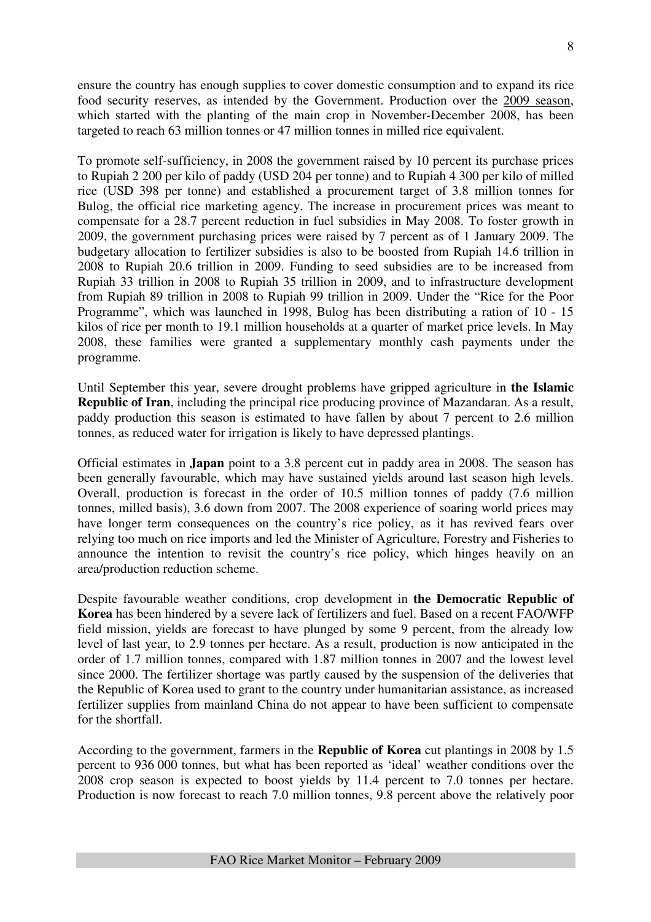ensure the country has enough supplies to cover domestic consumption and to expand its rice food security reserves, as intended by the Government. Production over the 2009 season, which started with the planting of the main crop in November-December 2008, has been targeted to reach 63 million tonnes or 47 million tonnes in milled rice equivalent.

To promote self-sufficiency, in 2008 the government raised by 10 percent its purchase prices to Rupiah 2 200 per kilo of paddy (USD 204 per tonne) and to Rupiah 4 300 per kilo of milled rice (USD 398 per tonne) and established a procurement target of 3.8 million tonnes for Bulog, the official rice marketing agency. The increase in procurement prices was meant to compensate for a 28.7 percent reduction in fuel subsidies in May 2008. To foster growth in 2009, the government purchasing prices were raised by 7 percent as of 1 January 2009. The budgetary allocation to fertilizer subsidies is also to be boosted from Rupiah 14.6 trillion in 2008 to Rupiah 20.6 trillion in 2009. Funding to seed subsidies are to be increased from Rupiah 33 trillion in 2008 to Rupiah 35 trillion in 2009, and to infrastructure development from Rupiah 89 trillion in 2008 to Rupiah 99 trillion in 2009. Under the "Rice for the Poor Programme", which was launched in 1998, Bulog has been distributing a ration of 10 - 15 kilos of rice per month to 19.1 million households at a quarter of market price levels. In May 2008, these families were granted a supplementary monthly cash payments under the programme.

Until September this year, severe drought problems have gripped agriculture in **the Islamic Republic of Iran**, including the principal rice producing province of Mazandaran. As a result, paddy production this season is estimated to have fallen by about 7 percent to 2.6 million tonnes, as reduced water for irrigation is likely to have depressed plantings.

Official estimates in **Japan** point to a 3.8 percent cut in paddy area in 2008. The season has been generally favourable, which may have sustained yields around last season high levels. Overall, production is forecast in the order of 10.5 million tonnes of paddy (7.6 million tonnes, milled basis), 3.6 down from 2007. The 2008 experience of soaring world prices may have longer term consequences on the country's rice policy, as it has revived fears over relying too much on rice imports and led the Minister of Agriculture, Forestry and Fisheries to announce the intention to revisit the country's rice policy, which hinges heavily on an area/production reduction scheme.

Despite favourable weather conditions, crop development in **the Democratic Republic of Korea** has been hindered by a severe lack of fertilizers and fuel. Based on a recent FAO/WFP field mission, yields are forecast to have plunged by some 9 percent, from the already low level of last year, to 2.9 tonnes per hectare. As a result, production is now anticipated in the order of 1.7 million tonnes, compared with 1.87 million tonnes in 2007 and the lowest level since 2000. The fertilizer shortage was partly caused by the suspension of the deliveries that the Republic of Korea used to grant to the country under humanitarian assistance, as increased fertilizer supplies from mainland China do not appear to have been sufficient to compensate for the shortfall.

According to the government, farmers in the **Republic of Korea** cut plantings in 2008 by 1.5 percent to 936 000 tonnes, but what has been reported as 'ideal' weather conditions over the 2008 crop season is expected to boost yields by 11.4 percent to 7.0 tonnes per hectare. Production is now forecast to reach 7.0 million tonnes, 9.8 percent above the relatively poor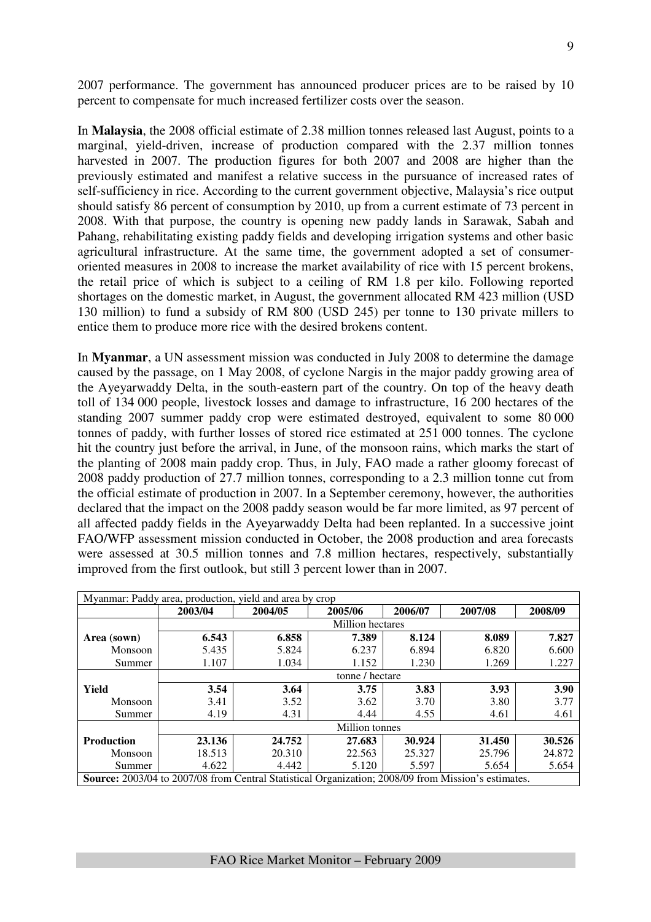2007 performance. The government has announced producer prices are to be raised by 10 percent to compensate for much increased fertilizer costs over the season.

In **Malaysia**, the 2008 official estimate of 2.38 million tonnes released last August, points to a marginal, yield-driven, increase of production compared with the 2.37 million tonnes harvested in 2007. The production figures for both 2007 and 2008 are higher than the previously estimated and manifest a relative success in the pursuance of increased rates of self-sufficiency in rice. According to the current government objective, Malaysia's rice output should satisfy 86 percent of consumption by 2010, up from a current estimate of 73 percent in 2008. With that purpose, the country is opening new paddy lands in Sarawak, Sabah and Pahang, rehabilitating existing paddy fields and developing irrigation systems and other basic agricultural infrastructure. At the same time, the government adopted a set of consumeroriented measures in 2008 to increase the market availability of rice with 15 percent brokens, the retail price of which is subject to a ceiling of RM 1.8 per kilo. Following reported shortages on the domestic market, in August, the government allocated RM 423 million (USD 130 million) to fund a subsidy of RM 800 (USD 245) per tonne to 130 private millers to entice them to produce more rice with the desired brokens content.

In **Myanmar**, a UN assessment mission was conducted in July 2008 to determine the damage caused by the passage, on 1 May 2008, of cyclone Nargis in the major paddy growing area of the Ayeyarwaddy Delta, in the south-eastern part of the country. On top of the heavy death toll of 134 000 people, livestock losses and damage to infrastructure, 16 200 hectares of the standing 2007 summer paddy crop were estimated destroyed, equivalent to some 80 000 tonnes of paddy, with further losses of stored rice estimated at 251 000 tonnes. The cyclone hit the country just before the arrival, in June, of the monsoon rains, which marks the start of the planting of 2008 main paddy crop. Thus, in July, FAO made a rather gloomy forecast of 2008 paddy production of 27.7 million tonnes, corresponding to a 2.3 million tonne cut from the official estimate of production in 2007. In a September ceremony, however, the authorities declared that the impact on the 2008 paddy season would be far more limited, as 97 percent of all affected paddy fields in the Ayeyarwaddy Delta had been replanted. In a successive joint FAO/WFP assessment mission conducted in October, the 2008 production and area forecasts were assessed at 30.5 million tonnes and 7.8 million hectares, respectively, substantially improved from the first outlook, but still 3 percent lower than in 2007.

| Myanmar: Paddy area, production, yield and area by crop                                                    |                 |         |                         |         |         |         |  |  |  |  |  |
|------------------------------------------------------------------------------------------------------------|-----------------|---------|-------------------------|---------|---------|---------|--|--|--|--|--|
|                                                                                                            | 2003/04         | 2004/05 | 2005/06                 | 2006/07 | 2007/08 | 2008/09 |  |  |  |  |  |
|                                                                                                            |                 |         | <b>Million</b> hectares |         |         |         |  |  |  |  |  |
| Area (sown)                                                                                                | 6.543           | 6.858   | 7.389                   | 8.124   | 8.089   | 7.827   |  |  |  |  |  |
| Monsoon                                                                                                    | 5.435           | 5.824   | 6.237                   | 6.894   | 6.820   | 6.600   |  |  |  |  |  |
| Summer                                                                                                     | 1.107           | 1.034   | 1.152                   | 1.230   | 1.269   | 1.227   |  |  |  |  |  |
|                                                                                                            | tonne / hectare |         |                         |         |         |         |  |  |  |  |  |
| Yield                                                                                                      | 3.54            | 3.64    | 3.75                    | 3.83    | 3.93    | 3.90    |  |  |  |  |  |
| Monsoon                                                                                                    | 3.41            | 3.52    | 3.62                    | 3.70    | 3.80    | 3.77    |  |  |  |  |  |
| Summer                                                                                                     | 4.19            | 4.31    | 4.44                    | 4.55    | 4.61    | 4.61    |  |  |  |  |  |
|                                                                                                            |                 |         | Million tonnes          |         |         |         |  |  |  |  |  |
| <b>Production</b>                                                                                          | 23.136          | 24.752  | 27.683                  | 30.924  | 31.450  | 30.526  |  |  |  |  |  |
| Monsoon                                                                                                    | 18.513          | 20.310  | 22.563                  | 25.327  | 25.796  | 24.872  |  |  |  |  |  |
| Summer                                                                                                     | 4.622           | 4.442   | 5.120                   | 5.597   | 5.654   | 5.654   |  |  |  |  |  |
| <b>Source:</b> 2003/04 to 2007/08 from Central Statistical Organization; 2008/09 from Mission's estimates. |                 |         |                         |         |         |         |  |  |  |  |  |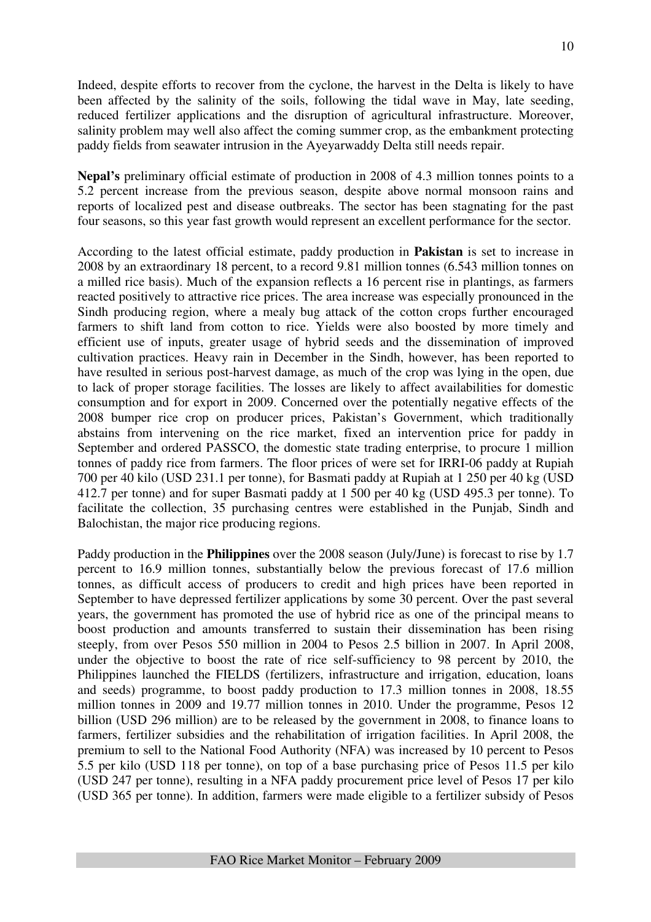Indeed, despite efforts to recover from the cyclone, the harvest in the Delta is likely to have been affected by the salinity of the soils, following the tidal wave in May, late seeding, reduced fertilizer applications and the disruption of agricultural infrastructure. Moreover, salinity problem may well also affect the coming summer crop, as the embankment protecting paddy fields from seawater intrusion in the Ayeyarwaddy Delta still needs repair.

**Nepal's** preliminary official estimate of production in 2008 of 4.3 million tonnes points to a 5.2 percent increase from the previous season, despite above normal monsoon rains and reports of localized pest and disease outbreaks. The sector has been stagnating for the past four seasons, so this year fast growth would represent an excellent performance for the sector.

According to the latest official estimate, paddy production in **Pakistan** is set to increase in 2008 by an extraordinary 18 percent, to a record 9.81 million tonnes (6.543 million tonnes on a milled rice basis). Much of the expansion reflects a 16 percent rise in plantings, as farmers reacted positively to attractive rice prices. The area increase was especially pronounced in the Sindh producing region, where a mealy bug attack of the cotton crops further encouraged farmers to shift land from cotton to rice. Yields were also boosted by more timely and efficient use of inputs, greater usage of hybrid seeds and the dissemination of improved cultivation practices. Heavy rain in December in the Sindh, however, has been reported to have resulted in serious post-harvest damage, as much of the crop was lying in the open, due to lack of proper storage facilities. The losses are likely to affect availabilities for domestic consumption and for export in 2009. Concerned over the potentially negative effects of the 2008 bumper rice crop on producer prices, Pakistan's Government, which traditionally abstains from intervening on the rice market, fixed an intervention price for paddy in September and ordered PASSCO, the domestic state trading enterprise, to procure 1 million tonnes of paddy rice from farmers. The floor prices of were set for IRRI-06 paddy at Rupiah 700 per 40 kilo (USD 231.1 per tonne), for Basmati paddy at Rupiah at 1 250 per 40 kg (USD 412.7 per tonne) and for super Basmati paddy at 1 500 per 40 kg (USD 495.3 per tonne). To facilitate the collection, 35 purchasing centres were established in the Punjab, Sindh and Balochistan, the major rice producing regions.

Paddy production in the **Philippines** over the 2008 season (July/June) is forecast to rise by 1.7 percent to 16.9 million tonnes, substantially below the previous forecast of 17.6 million tonnes, as difficult access of producers to credit and high prices have been reported in September to have depressed fertilizer applications by some 30 percent. Over the past several years, the government has promoted the use of hybrid rice as one of the principal means to boost production and amounts transferred to sustain their dissemination has been rising steeply, from over Pesos 550 million in 2004 to Pesos 2.5 billion in 2007. In April 2008, under the objective to boost the rate of rice self-sufficiency to 98 percent by 2010, the Philippines launched the FIELDS (fertilizers, infrastructure and irrigation, education, loans and seeds) programme, to boost paddy production to 17.3 million tonnes in 2008, 18.55 million tonnes in 2009 and 19.77 million tonnes in 2010. Under the programme, Pesos 12 billion (USD 296 million) are to be released by the government in 2008, to finance loans to farmers, fertilizer subsidies and the rehabilitation of irrigation facilities. In April 2008, the premium to sell to the National Food Authority (NFA) was increased by 10 percent to Pesos 5.5 per kilo (USD 118 per tonne), on top of a base purchasing price of Pesos 11.5 per kilo (USD 247 per tonne), resulting in a NFA paddy procurement price level of Pesos 17 per kilo (USD 365 per tonne). In addition, farmers were made eligible to a fertilizer subsidy of Pesos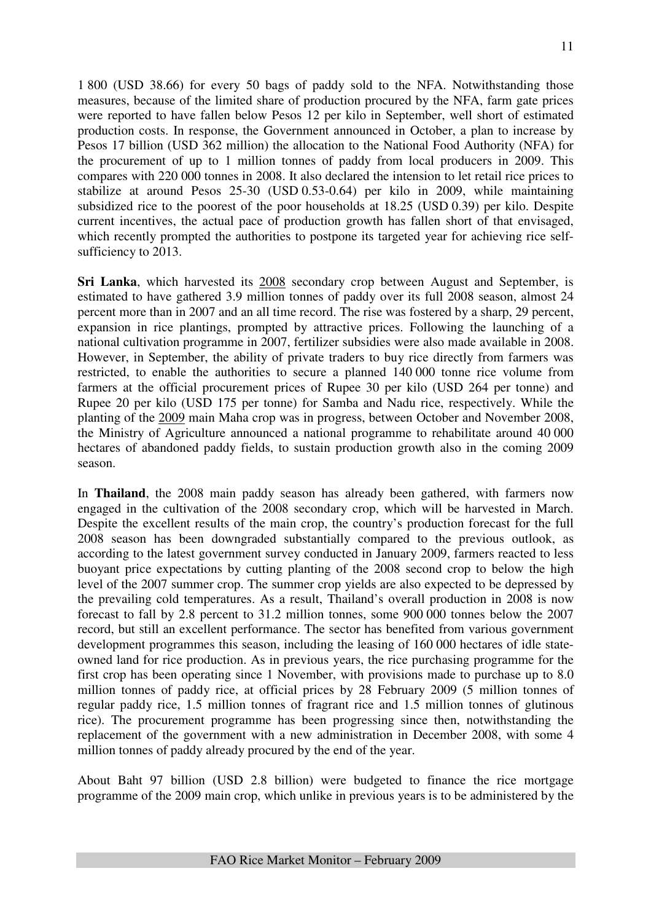1 800 (USD 38.66) for every 50 bags of paddy sold to the NFA. Notwithstanding those measures, because of the limited share of production procured by the NFA, farm gate prices were reported to have fallen below Pesos 12 per kilo in September, well short of estimated production costs. In response, the Government announced in October, a plan to increase by Pesos 17 billion (USD 362 million) the allocation to the National Food Authority (NFA) for the procurement of up to 1 million tonnes of paddy from local producers in 2009. This compares with 220 000 tonnes in 2008. It also declared the intension to let retail rice prices to stabilize at around Pesos 25-30 (USD 0.53-0.64) per kilo in 2009, while maintaining subsidized rice to the poorest of the poor households at 18.25 (USD 0.39) per kilo. Despite current incentives, the actual pace of production growth has fallen short of that envisaged, which recently prompted the authorities to postpone its targeted year for achieving rice selfsufficiency to 2013.

**Sri Lanka**, which harvested its 2008 secondary crop between August and September, is estimated to have gathered 3.9 million tonnes of paddy over its full 2008 season, almost 24 percent more than in 2007 and an all time record. The rise was fostered by a sharp, 29 percent, expansion in rice plantings, prompted by attractive prices. Following the launching of a national cultivation programme in 2007, fertilizer subsidies were also made available in 2008. However, in September, the ability of private traders to buy rice directly from farmers was restricted, to enable the authorities to secure a planned 140 000 tonne rice volume from farmers at the official procurement prices of Rupee 30 per kilo (USD 264 per tonne) and Rupee 20 per kilo (USD 175 per tonne) for Samba and Nadu rice, respectively. While the planting of the 2009 main Maha crop was in progress, between October and November 2008, the Ministry of Agriculture announced a national programme to rehabilitate around 40 000 hectares of abandoned paddy fields, to sustain production growth also in the coming 2009 season.

In **Thailand**, the 2008 main paddy season has already been gathered, with farmers now engaged in the cultivation of the 2008 secondary crop, which will be harvested in March. Despite the excellent results of the main crop, the country's production forecast for the full 2008 season has been downgraded substantially compared to the previous outlook, as according to the latest government survey conducted in January 2009, farmers reacted to less buoyant price expectations by cutting planting of the 2008 second crop to below the high level of the 2007 summer crop. The summer crop yields are also expected to be depressed by the prevailing cold temperatures. As a result, Thailand's overall production in 2008 is now forecast to fall by 2.8 percent to 31.2 million tonnes, some 900 000 tonnes below the 2007 record, but still an excellent performance. The sector has benefited from various government development programmes this season, including the leasing of 160 000 hectares of idle stateowned land for rice production. As in previous years, the rice purchasing programme for the first crop has been operating since 1 November, with provisions made to purchase up to 8.0 million tonnes of paddy rice, at official prices by 28 February 2009 (5 million tonnes of regular paddy rice, 1.5 million tonnes of fragrant rice and 1.5 million tonnes of glutinous rice). The procurement programme has been progressing since then, notwithstanding the replacement of the government with a new administration in December 2008, with some 4 million tonnes of paddy already procured by the end of the year.

About Baht 97 billion (USD 2.8 billion) were budgeted to finance the rice mortgage programme of the 2009 main crop, which unlike in previous years is to be administered by the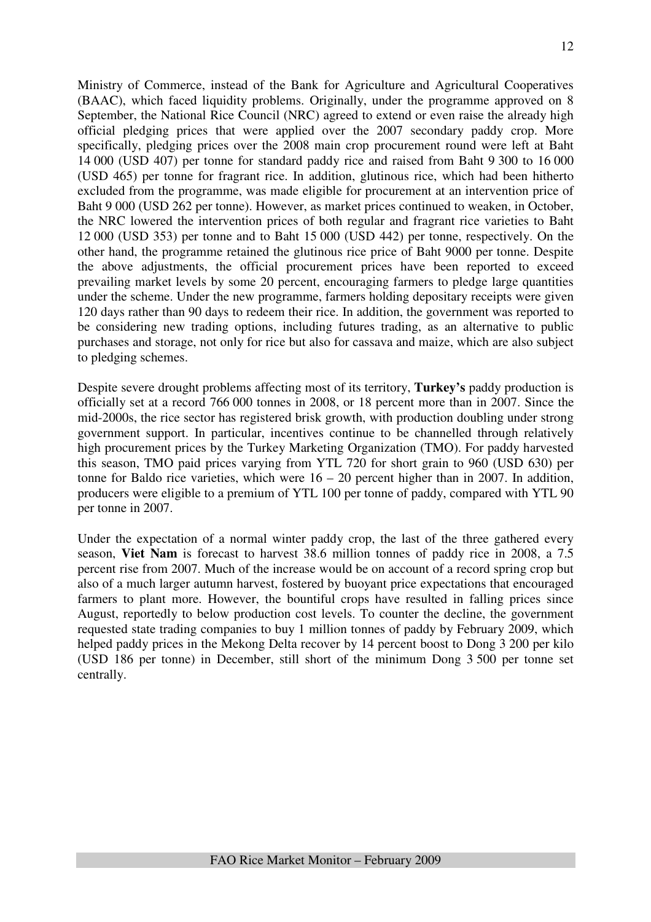Ministry of Commerce, instead of the Bank for Agriculture and Agricultural Cooperatives (BAAC), which faced liquidity problems. Originally, under the programme approved on 8 September, the National Rice Council (NRC) agreed to extend or even raise the already high official pledging prices that were applied over the 2007 secondary paddy crop. More specifically, pledging prices over the 2008 main crop procurement round were left at Baht 14 000 (USD 407) per tonne for standard paddy rice and raised from Baht 9 300 to 16 000 (USD 465) per tonne for fragrant rice. In addition, glutinous rice, which had been hitherto excluded from the programme, was made eligible for procurement at an intervention price of Baht 9 000 (USD 262 per tonne). However, as market prices continued to weaken, in October, the NRC lowered the intervention prices of both regular and fragrant rice varieties to Baht 12 000 (USD 353) per tonne and to Baht 15 000 (USD 442) per tonne, respectively. On the other hand, the programme retained the glutinous rice price of Baht 9000 per tonne. Despite the above adjustments, the official procurement prices have been reported to exceed prevailing market levels by some 20 percent, encouraging farmers to pledge large quantities under the scheme. Under the new programme, farmers holding depositary receipts were given 120 days rather than 90 days to redeem their rice. In addition, the government was reported to be considering new trading options, including futures trading, as an alternative to public purchases and storage, not only for rice but also for cassava and maize, which are also subject to pledging schemes.

Despite severe drought problems affecting most of its territory, **Turkey's** paddy production is officially set at a record 766 000 tonnes in 2008, or 18 percent more than in 2007. Since the mid-2000s, the rice sector has registered brisk growth, with production doubling under strong government support. In particular, incentives continue to be channelled through relatively high procurement prices by the Turkey Marketing Organization (TMO). For paddy harvested this season, TMO paid prices varying from YTL 720 for short grain to 960 (USD 630) per tonne for Baldo rice varieties, which were  $16 - 20$  percent higher than in 2007. In addition, producers were eligible to a premium of YTL 100 per tonne of paddy, compared with YTL 90 per tonne in 2007.

Under the expectation of a normal winter paddy crop, the last of the three gathered every season, **Viet Nam** is forecast to harvest 38.6 million tonnes of paddy rice in 2008, a 7.5 percent rise from 2007. Much of the increase would be on account of a record spring crop but also of a much larger autumn harvest, fostered by buoyant price expectations that encouraged farmers to plant more. However, the bountiful crops have resulted in falling prices since August, reportedly to below production cost levels. To counter the decline, the government requested state trading companies to buy 1 million tonnes of paddy by February 2009, which helped paddy prices in the Mekong Delta recover by 14 percent boost to Dong 3 200 per kilo (USD 186 per tonne) in December, still short of the minimum Dong 3 500 per tonne set centrally.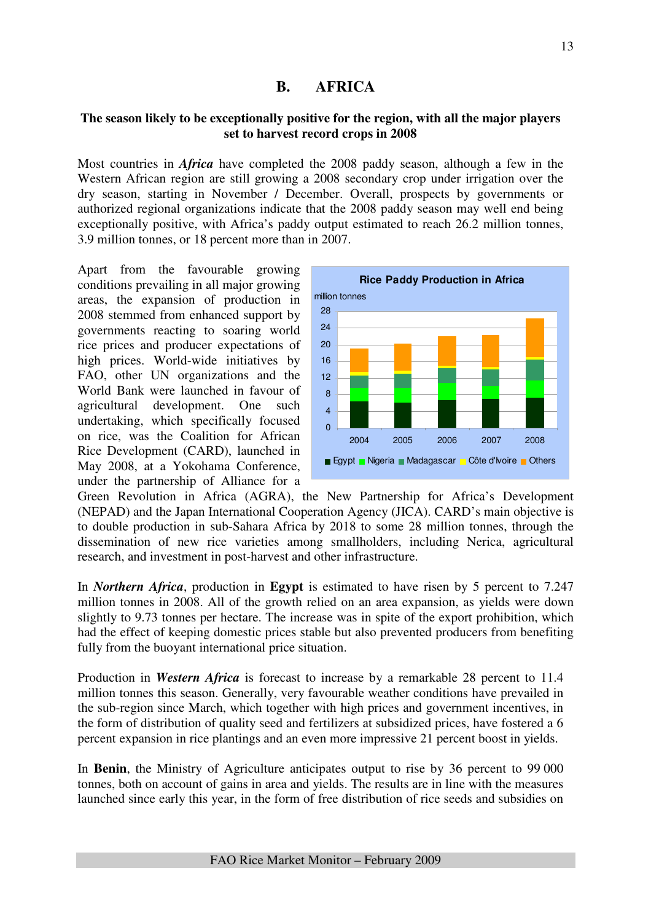## **B. AFRICA**

## **The season likely to be exceptionally positive for the region, with all the major players set to harvest record crops in 2008**

Most countries in *Africa* have completed the 2008 paddy season, although a few in the Western African region are still growing a 2008 secondary crop under irrigation over the dry season, starting in November / December. Overall, prospects by governments or authorized regional organizations indicate that the 2008 paddy season may well end being exceptionally positive, with Africa's paddy output estimated to reach 26.2 million tonnes, 3.9 million tonnes, or 18 percent more than in 2007.

Apart from the favourable growing conditions prevailing in all major growing areas, the expansion of production in 2008 stemmed from enhanced support by governments reacting to soaring world rice prices and producer expectations of high prices. World-wide initiatives by FAO, other UN organizations and the World Bank were launched in favour of agricultural development. One such undertaking, which specifically focused on rice, was the Coalition for African Rice Development (CARD), launched in May 2008, at a Yokohama Conference, under the partnership of Alliance for a



Green Revolution in Africa (AGRA), the New Partnership for Africa's Development (NEPAD) and the Japan International Cooperation Agency (JICA). CARD's main objective is to double production in sub-Sahara Africa by 2018 to some 28 million tonnes, through the dissemination of new rice varieties among smallholders, including Nerica, agricultural research, and investment in post-harvest and other infrastructure.

In *Northern Africa*, production in **Egypt** is estimated to have risen by 5 percent to 7.247 million tonnes in 2008. All of the growth relied on an area expansion, as yields were down slightly to 9.73 tonnes per hectare. The increase was in spite of the export prohibition, which had the effect of keeping domestic prices stable but also prevented producers from benefiting fully from the buoyant international price situation.

Production in *Western Africa* is forecast to increase by a remarkable 28 percent to 11.4 million tonnes this season. Generally, very favourable weather conditions have prevailed in the sub-region since March, which together with high prices and government incentives, in the form of distribution of quality seed and fertilizers at subsidized prices, have fostered a 6 percent expansion in rice plantings and an even more impressive 21 percent boost in yields.

In **Benin**, the Ministry of Agriculture anticipates output to rise by 36 percent to 99 000 tonnes, both on account of gains in area and yields. The results are in line with the measures launched since early this year, in the form of free distribution of rice seeds and subsidies on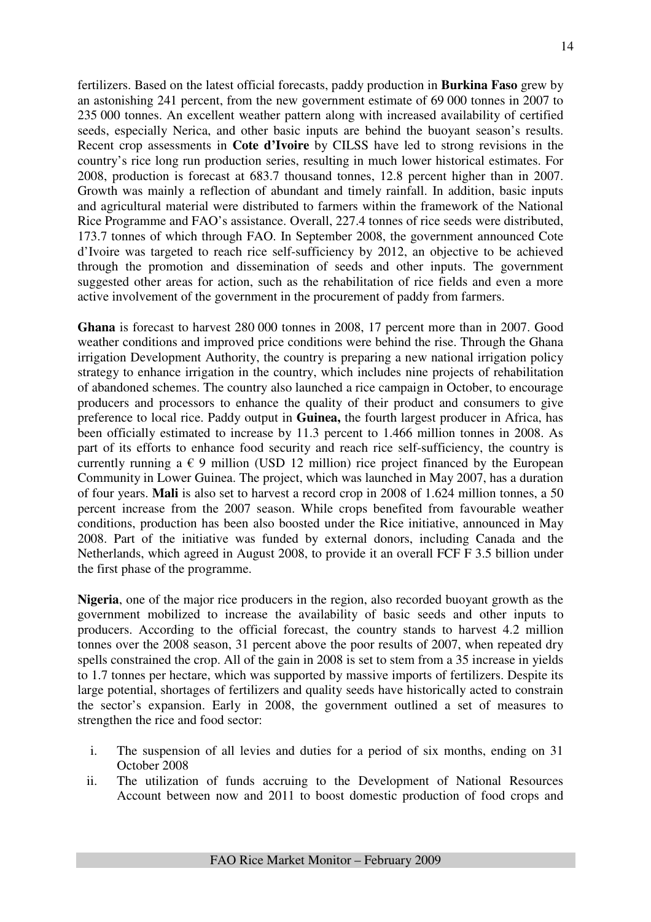fertilizers. Based on the latest official forecasts, paddy production in **Burkina Faso** grew by an astonishing 241 percent, from the new government estimate of 69 000 tonnes in 2007 to 235 000 tonnes. An excellent weather pattern along with increased availability of certified seeds, especially Nerica, and other basic inputs are behind the buoyant season's results. Recent crop assessments in **Cote d'Ivoire** by CILSS have led to strong revisions in the country's rice long run production series, resulting in much lower historical estimates. For 2008, production is forecast at 683.7 thousand tonnes, 12.8 percent higher than in 2007. Growth was mainly a reflection of abundant and timely rainfall. In addition, basic inputs and agricultural material were distributed to farmers within the framework of the National Rice Programme and FAO's assistance. Overall, 227.4 tonnes of rice seeds were distributed, 173.7 tonnes of which through FAO. In September 2008, the government announced Cote d'Ivoire was targeted to reach rice self-sufficiency by 2012, an objective to be achieved through the promotion and dissemination of seeds and other inputs. The government suggested other areas for action, such as the rehabilitation of rice fields and even a more active involvement of the government in the procurement of paddy from farmers.

**Ghana** is forecast to harvest 280 000 tonnes in 2008, 17 percent more than in 2007. Good weather conditions and improved price conditions were behind the rise. Through the Ghana irrigation Development Authority, the country is preparing a new national irrigation policy strategy to enhance irrigation in the country, which includes nine projects of rehabilitation of abandoned schemes. The country also launched a rice campaign in October, to encourage producers and processors to enhance the quality of their product and consumers to give preference to local rice. Paddy output in **Guinea,** the fourth largest producer in Africa, has been officially estimated to increase by 11.3 percent to 1.466 million tonnes in 2008. As part of its efforts to enhance food security and reach rice self-sufficiency, the country is currently running a  $\epsilon$  9 million (USD 12 million) rice project financed by the European Community in Lower Guinea. The project, which was launched in May 2007, has a duration of four years. **Mali** is also set to harvest a record crop in 2008 of 1.624 million tonnes, a 50 percent increase from the 2007 season. While crops benefited from favourable weather conditions, production has been also boosted under the Rice initiative, announced in May 2008. Part of the initiative was funded by external donors, including Canada and the Netherlands, which agreed in August 2008, to provide it an overall FCF F 3.5 billion under the first phase of the programme.

**Nigeria**, one of the major rice producers in the region, also recorded buoyant growth as the government mobilized to increase the availability of basic seeds and other inputs to producers. According to the official forecast, the country stands to harvest 4.2 million tonnes over the 2008 season, 31 percent above the poor results of 2007, when repeated dry spells constrained the crop. All of the gain in 2008 is set to stem from a 35 increase in yields to 1.7 tonnes per hectare, which was supported by massive imports of fertilizers. Despite its large potential, shortages of fertilizers and quality seeds have historically acted to constrain the sector's expansion. Early in 2008, the government outlined a set of measures to strengthen the rice and food sector:

- i. The suspension of all levies and duties for a period of six months, ending on 31 October 2008
- ii. The utilization of funds accruing to the Development of National Resources Account between now and 2011 to boost domestic production of food crops and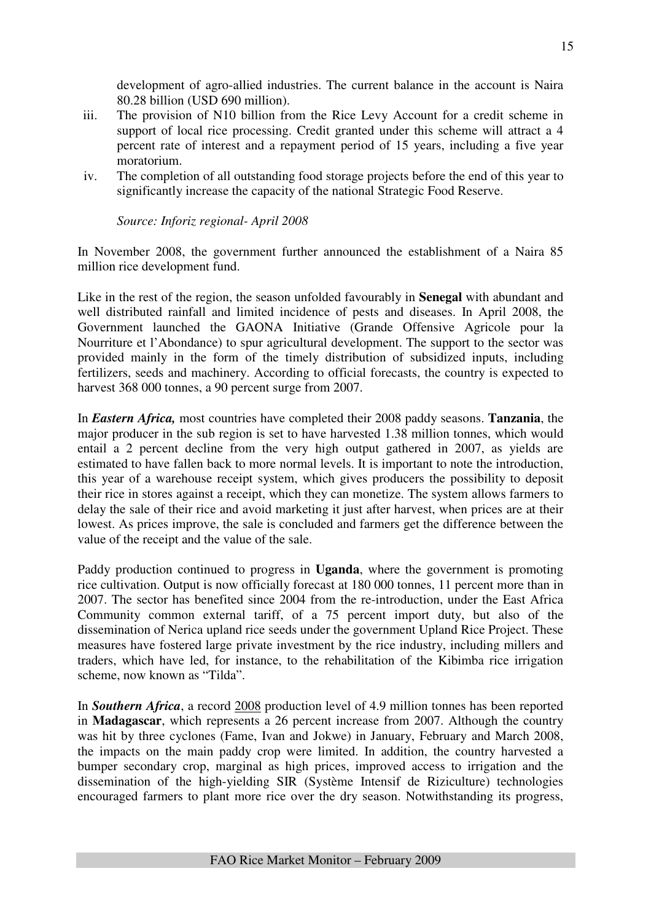development of agro-allied industries. The current balance in the account is Naira 80.28 billion (USD 690 million).

- iii. The provision of N10 billion from the Rice Levy Account for a credit scheme in support of local rice processing. Credit granted under this scheme will attract a 4 percent rate of interest and a repayment period of 15 years, including a five year moratorium.
- iv. The completion of all outstanding food storage projects before the end of this year to significantly increase the capacity of the national Strategic Food Reserve.

*Source: Inforiz regional- April 2008*

In November 2008, the government further announced the establishment of a Naira 85 million rice development fund.

Like in the rest of the region, the season unfolded favourably in **Senegal** with abundant and well distributed rainfall and limited incidence of pests and diseases. In April 2008, the Government launched the GAONA Initiative (Grande Offensive Agricole pour la Nourriture et l'Abondance) to spur agricultural development. The support to the sector was provided mainly in the form of the timely distribution of subsidized inputs, including fertilizers, seeds and machinery. According to official forecasts, the country is expected to harvest 368 000 tonnes, a 90 percent surge from 2007.

In *Eastern Africa,* most countries have completed their 2008 paddy seasons. **Tanzania**, the major producer in the sub region is set to have harvested 1.38 million tonnes, which would entail a 2 percent decline from the very high output gathered in 2007, as yields are estimated to have fallen back to more normal levels. It is important to note the introduction, this year of a warehouse receipt system, which gives producers the possibility to deposit their rice in stores against a receipt, which they can monetize. The system allows farmers to delay the sale of their rice and avoid marketing it just after harvest, when prices are at their lowest. As prices improve, the sale is concluded and farmers get the difference between the value of the receipt and the value of the sale.

Paddy production continued to progress in **Uganda**, where the government is promoting rice cultivation. Output is now officially forecast at 180 000 tonnes, 11 percent more than in 2007. The sector has benefited since 2004 from the re-introduction, under the East Africa Community common external tariff, of a 75 percent import duty, but also of the dissemination of Nerica upland rice seeds under the government Upland Rice Project. These measures have fostered large private investment by the rice industry, including millers and traders, which have led, for instance, to the rehabilitation of the Kibimba rice irrigation scheme, now known as "Tilda".

In *Southern Africa*, a record 2008 production level of 4.9 million tonnes has been reported in **Madagascar**, which represents a 26 percent increase from 2007. Although the country was hit by three cyclones (Fame, Ivan and Jokwe) in January, February and March 2008, the impacts on the main paddy crop were limited. In addition, the country harvested a bumper secondary crop, marginal as high prices, improved access to irrigation and the dissemination of the high-yielding SIR (Système Intensif de Riziculture) technologies encouraged farmers to plant more rice over the dry season. Notwithstanding its progress,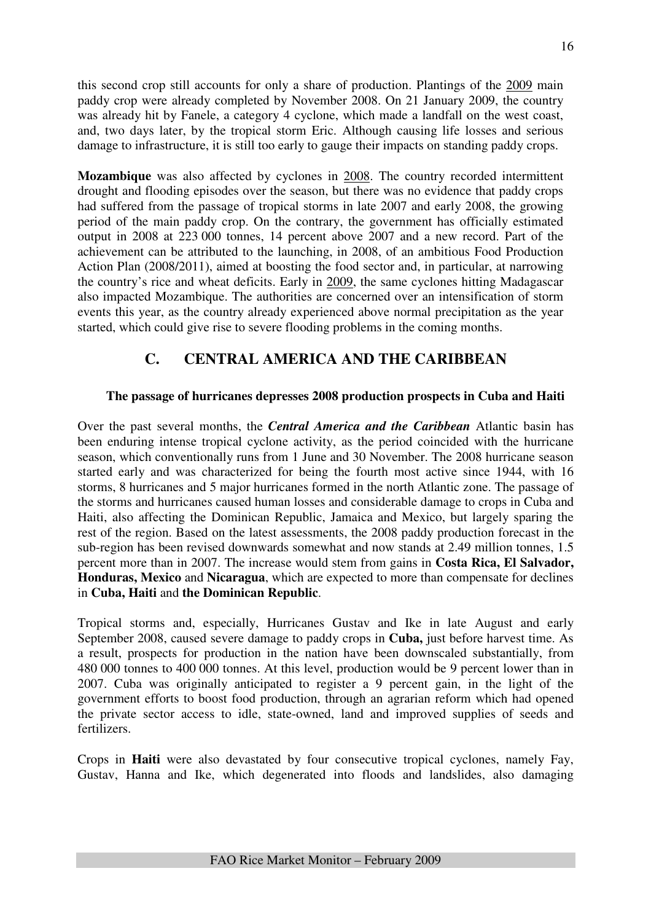this second crop still accounts for only a share of production. Plantings of the 2009 main paddy crop were already completed by November 2008. On 21 January 2009, the country was already hit by Fanele, a category 4 cyclone, which made a landfall on the west coast, and, two days later, by the tropical storm Eric. Although causing life losses and serious damage to infrastructure, it is still too early to gauge their impacts on standing paddy crops.

**Mozambique** was also affected by cyclones in 2008. The country recorded intermittent drought and flooding episodes over the season, but there was no evidence that paddy crops had suffered from the passage of tropical storms in late 2007 and early 2008, the growing period of the main paddy crop. On the contrary, the government has officially estimated output in 2008 at 223 000 tonnes, 14 percent above 2007 and a new record. Part of the achievement can be attributed to the launching, in 2008, of an ambitious Food Production Action Plan (2008/2011), aimed at boosting the food sector and, in particular, at narrowing the country's rice and wheat deficits. Early in 2009, the same cyclones hitting Madagascar also impacted Mozambique. The authorities are concerned over an intensification of storm events this year, as the country already experienced above normal precipitation as the year started, which could give rise to severe flooding problems in the coming months.

# **C. CENTRAL AMERICA AND THE CARIBBEAN**

## **The passage of hurricanes depresses 2008 production prospects in Cuba and Haiti**

Over the past several months, the *Central America and the Caribbean* Atlantic basin has been enduring intense tropical cyclone activity, as the period coincided with the hurricane season, which conventionally runs from 1 June and 30 November. The 2008 hurricane season started early and was characterized for being the fourth most active since 1944, with 16 storms, 8 hurricanes and 5 major hurricanes formed in the north Atlantic zone. The passage of the storms and hurricanes caused human losses and considerable damage to crops in Cuba and Haiti, also affecting the Dominican Republic, Jamaica and Mexico, but largely sparing the rest of the region. Based on the latest assessments, the 2008 paddy production forecast in the sub-region has been revised downwards somewhat and now stands at 2.49 million tonnes, 1.5 percent more than in 2007. The increase would stem from gains in **Costa Rica, El Salvador, Honduras, Mexico** and **Nicaragua**, which are expected to more than compensate for declines in **Cuba, Haiti** and **the Dominican Republic**.

Tropical storms and, especially, Hurricanes Gustav and Ike in late August and early September 2008, caused severe damage to paddy crops in **Cuba,** just before harvest time. As a result, prospects for production in the nation have been downscaled substantially, from 480 000 tonnes to 400 000 tonnes. At this level, production would be 9 percent lower than in 2007. Cuba was originally anticipated to register a 9 percent gain, in the light of the government efforts to boost food production, through an agrarian reform which had opened the private sector access to idle, state-owned, land and improved supplies of seeds and fertilizers.

Crops in **Haiti** were also devastated by four consecutive tropical cyclones, namely Fay, Gustav, Hanna and Ike, which degenerated into floods and landslides, also damaging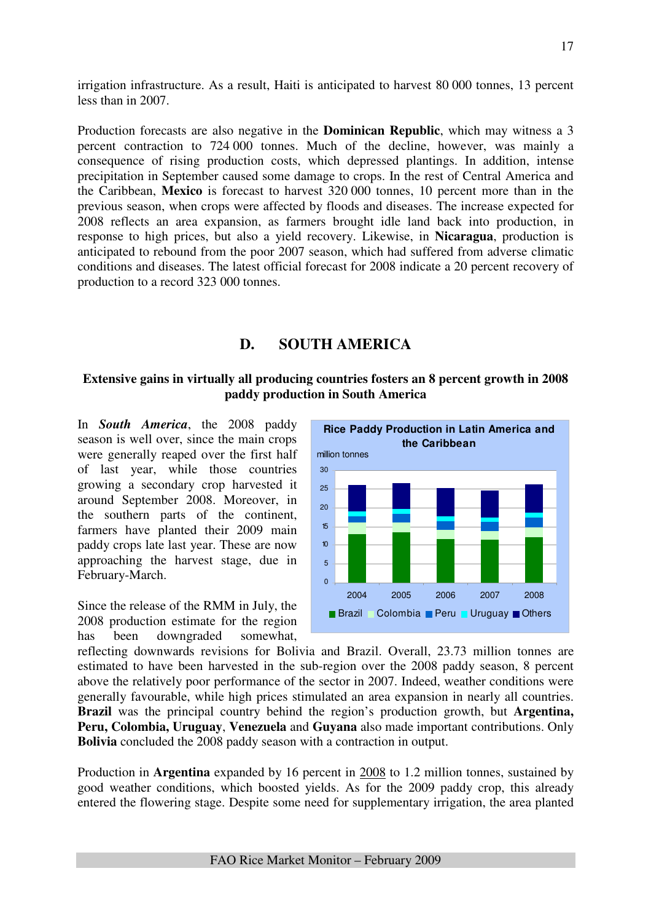irrigation infrastructure. As a result, Haiti is anticipated to harvest 80 000 tonnes, 13 percent less than in 2007.

Production forecasts are also negative in the **Dominican Republic**, which may witness a 3 percent contraction to 724 000 tonnes. Much of the decline, however, was mainly a consequence of rising production costs, which depressed plantings. In addition, intense precipitation in September caused some damage to crops. In the rest of Central America and the Caribbean, **Mexico** is forecast to harvest 320 000 tonnes, 10 percent more than in the previous season, when crops were affected by floods and diseases. The increase expected for 2008 reflects an area expansion, as farmers brought idle land back into production, in response to high prices, but also a yield recovery. Likewise, in **Nicaragua**, production is anticipated to rebound from the poor 2007 season, which had suffered from adverse climatic conditions and diseases. The latest official forecast for 2008 indicate a 20 percent recovery of production to a record 323 000 tonnes.

## **D. SOUTH AMERICA**

## **Extensive gains in virtually all producing countries fosters an 8 percent growth in 2008 paddy production in South America**

In *South America*, the 2008 paddy season is well over, since the main crops were generally reaped over the first half of last year, while those countries growing a secondary crop harvested it around September 2008. Moreover, in the southern parts of the continent, farmers have planted their 2009 main paddy crops late last year. These are now approaching the harvest stage, due in February-March.

Since the release of the RMM in July, the 2008 production estimate for the region has been downgraded somewhat,



reflecting downwards revisions for Bolivia and Brazil. Overall, 23.73 million tonnes are estimated to have been harvested in the sub-region over the 2008 paddy season, 8 percent above the relatively poor performance of the sector in 2007. Indeed, weather conditions were generally favourable, while high prices stimulated an area expansion in nearly all countries. **Brazil** was the principal country behind the region's production growth, but **Argentina, Peru, Colombia, Uruguay**, **Venezuela** and **Guyana** also made important contributions. Only **Bolivia** concluded the 2008 paddy season with a contraction in output.

Production in **Argentina** expanded by 16 percent in 2008 to 1.2 million tonnes, sustained by good weather conditions, which boosted yields. As for the 2009 paddy crop, this already entered the flowering stage. Despite some need for supplementary irrigation, the area planted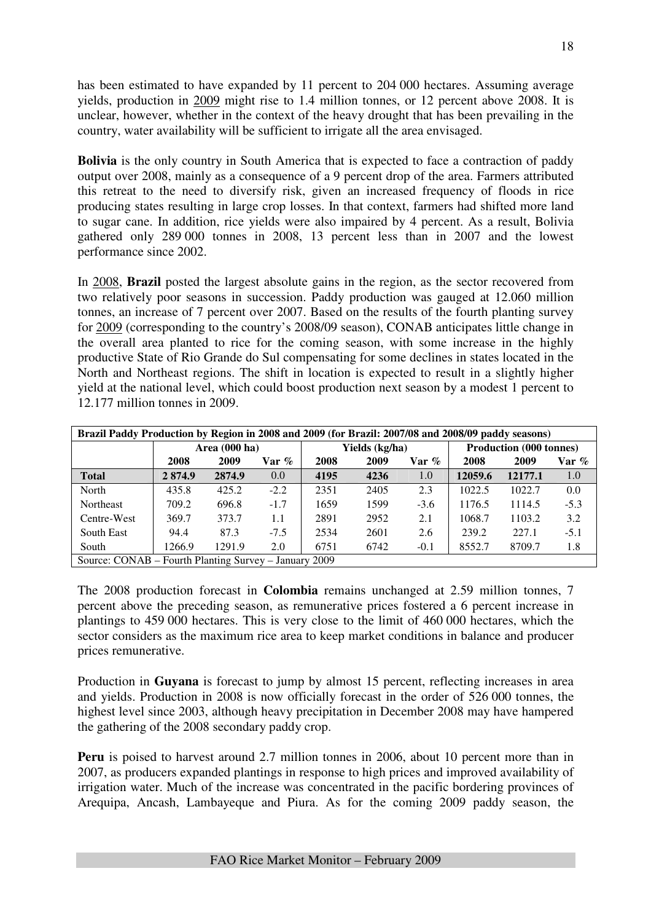has been estimated to have expanded by 11 percent to 204 000 hectares. Assuming average yields, production in 2009 might rise to 1.4 million tonnes, or 12 percent above 2008. It is unclear, however, whether in the context of the heavy drought that has been prevailing in the country, water availability will be sufficient to irrigate all the area envisaged.

**Bolivia** is the only country in South America that is expected to face a contraction of paddy output over 2008, mainly as a consequence of a 9 percent drop of the area. Farmers attributed this retreat to the need to diversify risk, given an increased frequency of floods in rice producing states resulting in large crop losses. In that context, farmers had shifted more land to sugar cane. In addition, rice yields were also impaired by 4 percent. As a result, Bolivia gathered only 289 000 tonnes in 2008, 13 percent less than in 2007 and the lowest performance since 2002.

In 2008, **Brazil** posted the largest absolute gains in the region, as the sector recovered from two relatively poor seasons in succession. Paddy production was gauged at 12.060 million tonnes, an increase of 7 percent over 2007. Based on the results of the fourth planting survey for 2009 (corresponding to the country's 2008/09 season), CONAB anticipates little change in the overall area planted to rice for the coming season, with some increase in the highly productive State of Rio Grande do Sul compensating for some declines in states located in the North and Northeast regions. The shift in location is expected to result in a slightly higher yield at the national level, which could boost production next season by a modest 1 percent to 12.177 million tonnes in 2009.

| Brazil Paddy Production by Region in 2008 and 2009 (for Brazil: 2007/08 and 2008/09 paddy seasons) |       |                         |        |      |                |        |                                |        |         |  |  |  |
|----------------------------------------------------------------------------------------------------|-------|-------------------------|--------|------|----------------|--------|--------------------------------|--------|---------|--|--|--|
|                                                                                                    |       | Area $(000 \text{ ha})$ |        |      | Yields (kg/ha) |        | <b>Production (000 tonnes)</b> |        |         |  |  |  |
|                                                                                                    | 2008  | 2009                    | Var %  | 2008 | 2009           | Var %  | 2008                           | 2009   | $Var$ % |  |  |  |
| 2874.9<br>4195<br>12059.6<br><b>Total</b><br>2874.9<br>4236<br>12177.1<br>1.0<br>0.0<br>1.0        |       |                         |        |      |                |        |                                |        |         |  |  |  |
| North                                                                                              | 435.8 | 425.2                   | $-2.2$ | 2351 | 2405           | 2.3    | 1022.5                         | 1022.7 | 0.0     |  |  |  |
| Northeast                                                                                          | 709.2 | 696.8                   | $-1.7$ | 1659 | 1599           | $-3.6$ | 1176.5                         | 1114.5 | $-5.3$  |  |  |  |
| Centre-West                                                                                        | 369.7 | 373.7                   | 1.1    | 2891 | 2952           | 2.1    | 1068.7                         | 1103.2 | 3.2     |  |  |  |
| South East                                                                                         | 94.4  | 87.3                    | $-7.5$ | 2534 | 2601           | 2.6    | 239.2                          | 227.1  | $-5.1$  |  |  |  |
| 1.8<br>6751<br>8552.7<br>8709.7<br>1266.9<br>1291.9<br>2.0<br>6742<br>South<br>$-0.1$              |       |                         |        |      |                |        |                                |        |         |  |  |  |
| Source: CONAB – Fourth Planting Survey – January 2009                                              |       |                         |        |      |                |        |                                |        |         |  |  |  |

The 2008 production forecast in **Colombia** remains unchanged at 2.59 million tonnes, 7 percent above the preceding season, as remunerative prices fostered a 6 percent increase in plantings to 459 000 hectares. This is very close to the limit of 460 000 hectares, which the sector considers as the maximum rice area to keep market conditions in balance and producer prices remunerative.

Production in **Guyana** is forecast to jump by almost 15 percent, reflecting increases in area and yields. Production in 2008 is now officially forecast in the order of 526 000 tonnes, the highest level since 2003, although heavy precipitation in December 2008 may have hampered the gathering of the 2008 secondary paddy crop.

**Peru** is poised to harvest around 2.7 million tonnes in 2006, about 10 percent more than in 2007, as producers expanded plantings in response to high prices and improved availability of irrigation water. Much of the increase was concentrated in the pacific bordering provinces of Arequipa, Ancash, Lambayeque and Piura. As for the coming 2009 paddy season, the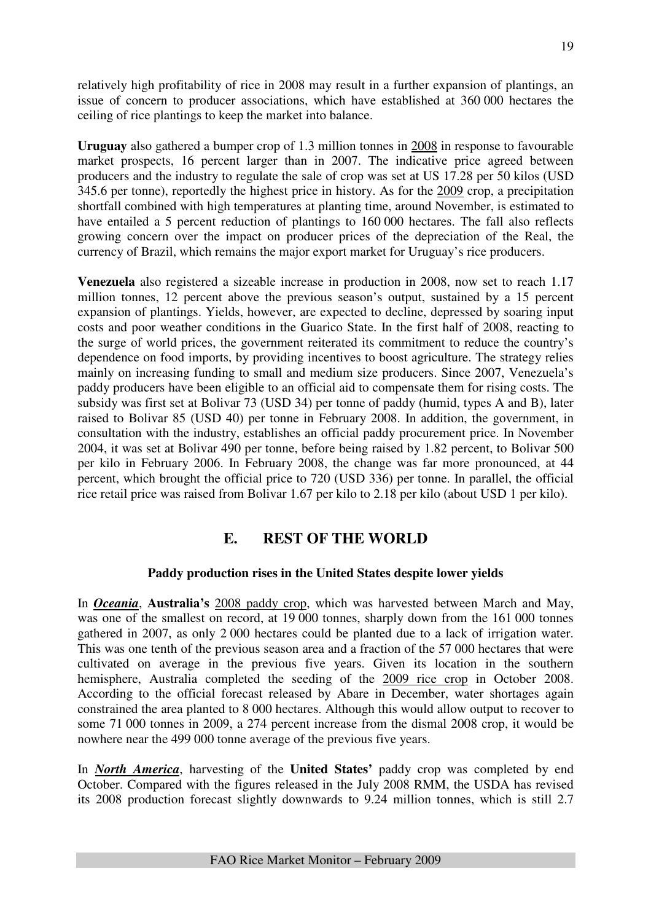relatively high profitability of rice in 2008 may result in a further expansion of plantings, an issue of concern to producer associations, which have established at 360 000 hectares the ceiling of rice plantings to keep the market into balance.

**Uruguay** also gathered a bumper crop of 1.3 million tonnes in 2008 in response to favourable market prospects, 16 percent larger than in 2007. The indicative price agreed between producers and the industry to regulate the sale of crop was set at US 17.28 per 50 kilos (USD 345.6 per tonne), reportedly the highest price in history. As for the 2009 crop, a precipitation shortfall combined with high temperatures at planting time, around November, is estimated to have entailed a 5 percent reduction of plantings to 160 000 hectares. The fall also reflects growing concern over the impact on producer prices of the depreciation of the Real, the currency of Brazil, which remains the major export market for Uruguay's rice producers.

**Venezuela** also registered a sizeable increase in production in 2008, now set to reach 1.17 million tonnes, 12 percent above the previous season's output, sustained by a 15 percent expansion of plantings. Yields, however, are expected to decline, depressed by soaring input costs and poor weather conditions in the Guarico State. In the first half of 2008, reacting to the surge of world prices, the government reiterated its commitment to reduce the country's dependence on food imports, by providing incentives to boost agriculture. The strategy relies mainly on increasing funding to small and medium size producers. Since 2007, Venezuela's paddy producers have been eligible to an official aid to compensate them for rising costs. The subsidy was first set at Bolivar 73 (USD 34) per tonne of paddy (humid, types A and B), later raised to Bolivar 85 (USD 40) per tonne in February 2008. In addition, the government, in consultation with the industry, establishes an official paddy procurement price. In November 2004, it was set at Bolivar 490 per tonne, before being raised by 1.82 percent, to Bolivar 500 per kilo in February 2006. In February 2008, the change was far more pronounced, at 44 percent, which brought the official price to 720 (USD 336) per tonne. In parallel, the official rice retail price was raised from Bolivar 1.67 per kilo to 2.18 per kilo (about USD 1 per kilo).

## **E. REST OF THE WORLD**

## **Paddy production rises in the United States despite lower yields**

In *Oceania*, **Australia's** 2008 paddy crop, which was harvested between March and May, was one of the smallest on record, at 19 000 tonnes, sharply down from the 161 000 tonnes gathered in 2007, as only 2 000 hectares could be planted due to a lack of irrigation water. This was one tenth of the previous season area and a fraction of the 57 000 hectares that were cultivated on average in the previous five years. Given its location in the southern hemisphere, Australia completed the seeding of the 2009 rice crop in October 2008. According to the official forecast released by Abare in December, water shortages again constrained the area planted to 8 000 hectares. Although this would allow output to recover to some 71 000 tonnes in 2009, a 274 percent increase from the dismal 2008 crop, it would be nowhere near the 499 000 tonne average of the previous five years.

In *North America*, harvesting of the **United States'** paddy crop was completed by end October. Compared with the figures released in the July 2008 RMM, the USDA has revised its 2008 production forecast slightly downwards to 9.24 million tonnes, which is still 2.7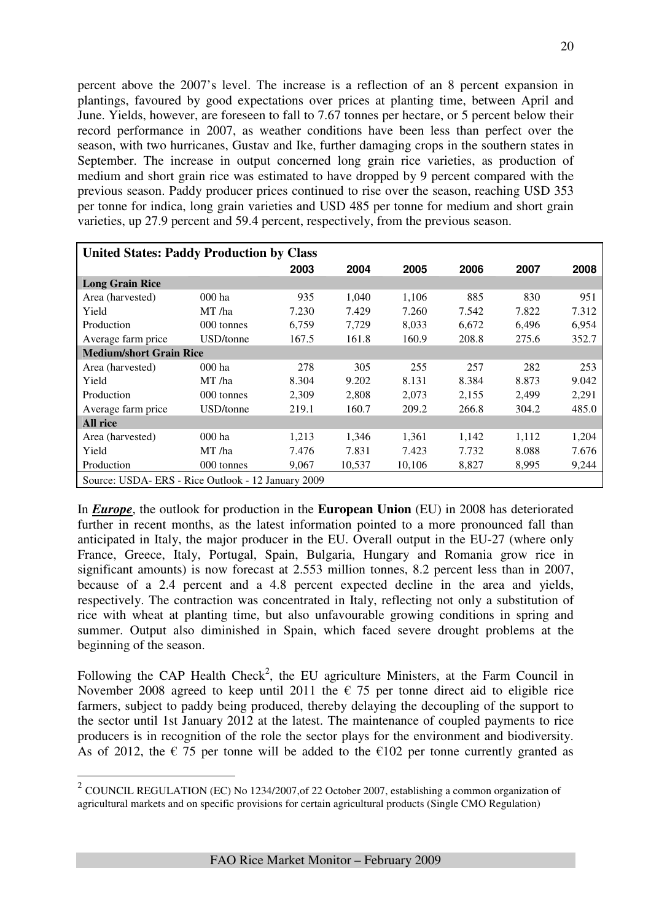percent above the 2007's level. The increase is a reflection of an 8 percent expansion in plantings, favoured by good expectations over prices at planting time, between April and June. Yields, however, are foreseen to fall to 7.67 tonnes per hectare, or 5 percent below their record performance in 2007, as weather conditions have been less than perfect over the season, with two hurricanes, Gustav and Ike, further damaging crops in the southern states in September. The increase in output concerned long grain rice varieties, as production of medium and short grain rice was estimated to have dropped by 9 percent compared with the previous season. Paddy producer prices continued to rise over the season, reaching USD 353 per tonne for indica, long grain varieties and USD 485 per tonne for medium and short grain varieties, up 27.9 percent and 59.4 percent, respectively, from the previous season.

| <b>United States: Paddy Production by Class</b>   |            |       |        |        |       |       |       |
|---------------------------------------------------|------------|-------|--------|--------|-------|-------|-------|
|                                                   |            | 2003  | 2004   | 2005   | 2006  | 2007  | 2008  |
| <b>Long Grain Rice</b>                            |            |       |        |        |       |       |       |
| Area (harvested)                                  | 000 ha     | 935   | 1,040  | 1,106  | 885   | 830   | 951   |
| Yield                                             | MT /ha     | 7.230 | 7.429  | 7.260  | 7.542 | 7.822 | 7.312 |
| Production                                        | 000 tonnes | 6,759 | 7,729  | 8,033  | 6,672 | 6,496 | 6,954 |
| Average farm price                                | USD/tonne  | 167.5 | 161.8  | 160.9  | 208.8 | 275.6 | 352.7 |
| <b>Medium/short Grain Rice</b>                    |            |       |        |        |       |       |       |
| Area (harvested)                                  | $000$ ha   | 278   | 305    | 255    | 257   | 282   | 253   |
| Yield                                             | MT /ha     | 8.304 | 9.202  | 8.131  | 8.384 | 8.873 | 9.042 |
| Production                                        | 000 tonnes | 2.309 | 2,808  | 2,073  | 2,155 | 2,499 | 2,291 |
| Average farm price                                | USD/tonne  | 219.1 | 160.7  | 209.2  | 266.8 | 304.2 | 485.0 |
| <b>All rice</b>                                   |            |       |        |        |       |       |       |
| Area (harvested)                                  | 000 ha     | 1,213 | 1,346  | 1,361  | 1,142 | 1,112 | 1,204 |
| Yield                                             | MT /ha     | 7.476 | 7.831  | 7.423  | 7.732 | 8.088 | 7.676 |
| Production                                        | 000 tonnes | 9,067 | 10,537 | 10,106 | 8,827 | 8,995 | 9,244 |
| Source: USDA-ERS - Rice Outlook - 12 January 2009 |            |       |        |        |       |       |       |

In *Europe*, the outlook for production in the **European Union** (EU) in 2008 has deteriorated further in recent months, as the latest information pointed to a more pronounced fall than anticipated in Italy, the major producer in the EU. Overall output in the EU-27 (where only France, Greece, Italy, Portugal, Spain, Bulgaria, Hungary and Romania grow rice in significant amounts) is now forecast at 2.553 million tonnes, 8.2 percent less than in 2007, because of a 2.4 percent and a 4.8 percent expected decline in the area and yields, respectively. The contraction was concentrated in Italy, reflecting not only a substitution of rice with wheat at planting time, but also unfavourable growing conditions in spring and summer. Output also diminished in Spain, which faced severe drought problems at the beginning of the season.

Following the CAP Health Check<sup>2</sup>, the EU agriculture Ministers, at the Farm Council in November 2008 agreed to keep until 2011 the  $\epsilon$  75 per tonne direct aid to eligible rice farmers, subject to paddy being produced, thereby delaying the decoupling of the support to the sector until 1st January 2012 at the latest. The maintenance of coupled payments to rice producers is in recognition of the role the sector plays for the environment and biodiversity. As of 2012, the  $\epsilon$  75 per tonne will be added to the  $\epsilon$ 102 per tonne currently granted as

 $\overline{a}$ 

<sup>&</sup>lt;sup>2</sup> COUNCIL REGULATION (EC) No 1234/2007, of 22 October 2007, establishing a common organization of agricultural markets and on specific provisions for certain agricultural products (Single CMO Regulation)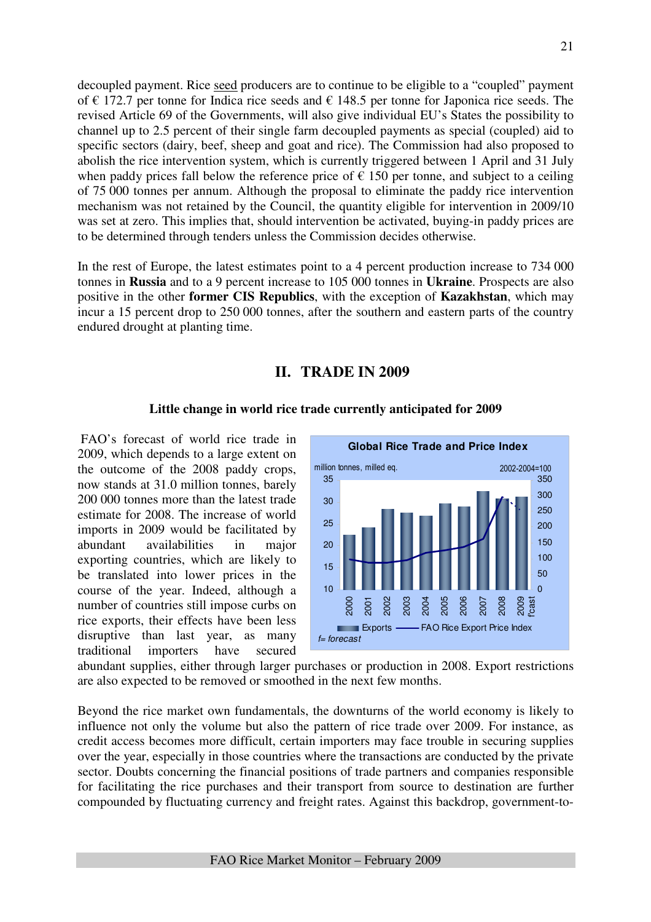decoupled payment. Rice seed producers are to continue to be eligible to a "coupled" payment of  $\epsilon$  172.7 per tonne for Indica rice seeds and  $\epsilon$  148.5 per tonne for Japonica rice seeds. The revised Article 69 of the Governments, will also give individual EU's States the possibility to channel up to 2.5 percent of their single farm decoupled payments as special (coupled) aid to specific sectors (dairy, beef, sheep and goat and rice). The Commission had also proposed to abolish the rice intervention system, which is currently triggered between 1 April and 31 July when paddy prices fall below the reference price of  $\epsilon$  150 per tonne, and subject to a ceiling of 75 000 tonnes per annum. Although the proposal to eliminate the paddy rice intervention mechanism was not retained by the Council, the quantity eligible for intervention in 2009/10 was set at zero. This implies that, should intervention be activated, buying-in paddy prices are to be determined through tenders unless the Commission decides otherwise.

In the rest of Europe, the latest estimates point to a 4 percent production increase to 734 000 tonnes in **Russia** and to a 9 percent increase to 105 000 tonnes in **Ukraine**. Prospects are also positive in the other **former CIS Republics**, with the exception of **Kazakhstan**, which may incur a 15 percent drop to 250 000 tonnes, after the southern and eastern parts of the country endured drought at planting time.

## **II. TRADE IN 2009**

#### **Little change in world rice trade currently anticipated for 2009**

 FAO's forecast of world rice trade in 2009, which depends to a large extent on the outcome of the 2008 paddy crops, now stands at 31.0 million tonnes, barely 200 000 tonnes more than the latest trade estimate for 2008. The increase of world imports in 2009 would be facilitated by abundant availabilities in major exporting countries, which are likely to be translated into lower prices in the course of the year. Indeed, although a number of countries still impose curbs on rice exports, their effects have been less disruptive than last year, as many traditional importers have secured



abundant supplies, either through larger purchases or production in 2008. Export restrictions are also expected to be removed or smoothed in the next few months.

Beyond the rice market own fundamentals, the downturns of the world economy is likely to influence not only the volume but also the pattern of rice trade over 2009. For instance, as credit access becomes more difficult, certain importers may face trouble in securing supplies over the year, especially in those countries where the transactions are conducted by the private sector. Doubts concerning the financial positions of trade partners and companies responsible for facilitating the rice purchases and their transport from source to destination are further compounded by fluctuating currency and freight rates. Against this backdrop, government-to-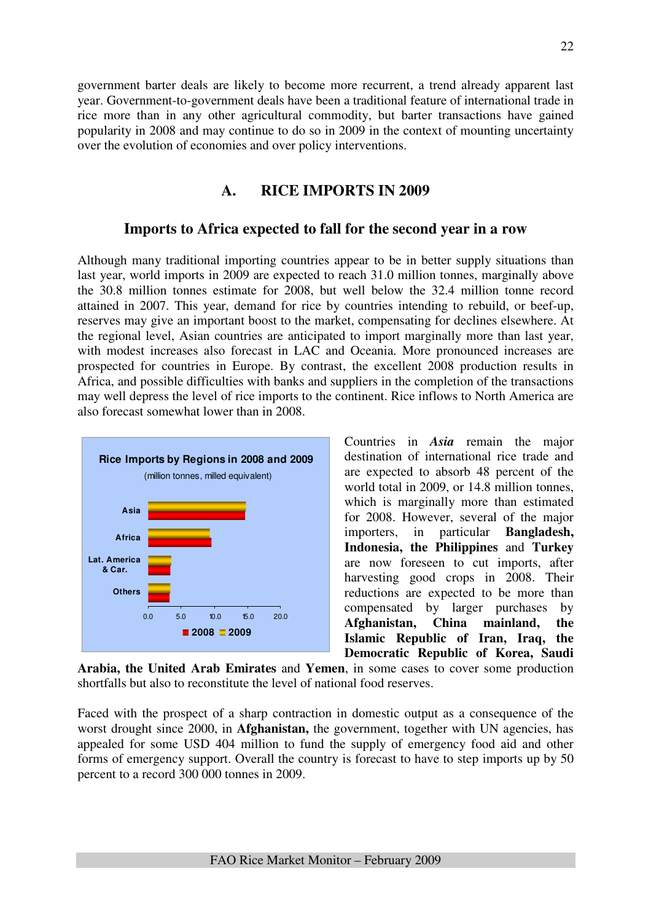government barter deals are likely to become more recurrent, a trend already apparent last year. Government-to-government deals have been a traditional feature of international trade in rice more than in any other agricultural commodity, but barter transactions have gained popularity in 2008 and may continue to do so in 2009 in the context of mounting uncertainty over the evolution of economies and over policy interventions.

## **A. RICE IMPORTS IN 2009**

## **Imports to Africa expected to fall for the second year in a row**

Although many traditional importing countries appear to be in better supply situations than last year, world imports in 2009 are expected to reach 31.0 million tonnes, marginally above the 30.8 million tonnes estimate for 2008, but well below the 32.4 million tonne record attained in 2007. This year, demand for rice by countries intending to rebuild, or beef-up, reserves may give an important boost to the market, compensating for declines elsewhere. At the regional level, Asian countries are anticipated to import marginally more than last year, with modest increases also forecast in LAC and Oceania. More pronounced increases are prospected for countries in Europe. By contrast, the excellent 2008 production results in Africa, and possible difficulties with banks and suppliers in the completion of the transactions may well depress the level of rice imports to the continent. Rice inflows to North America are also forecast somewhat lower than in 2008.



Countries in *Asia* remain the major destination of international rice trade and are expected to absorb 48 percent of the world total in 2009, or 14.8 million tonnes, which is marginally more than estimated for 2008. However, several of the major importers, in particular **Bangladesh, Indonesia, the Philippines** and **Turkey** are now foreseen to cut imports, after harvesting good crops in 2008. Their reductions are expected to be more than compensated by larger purchases by **Afghanistan, China mainland, the Islamic Republic of Iran, Iraq, the Democratic Republic of Korea, Saudi** 

**Arabia, the United Arab Emirates** and **Yemen**, in some cases to cover some production shortfalls but also to reconstitute the level of national food reserves.

Faced with the prospect of a sharp contraction in domestic output as a consequence of the worst drought since 2000, in **Afghanistan,** the government, together with UN agencies, has appealed for some USD 404 million to fund the supply of emergency food aid and other forms of emergency support. Overall the country is forecast to have to step imports up by 50 percent to a record 300 000 tonnes in 2009.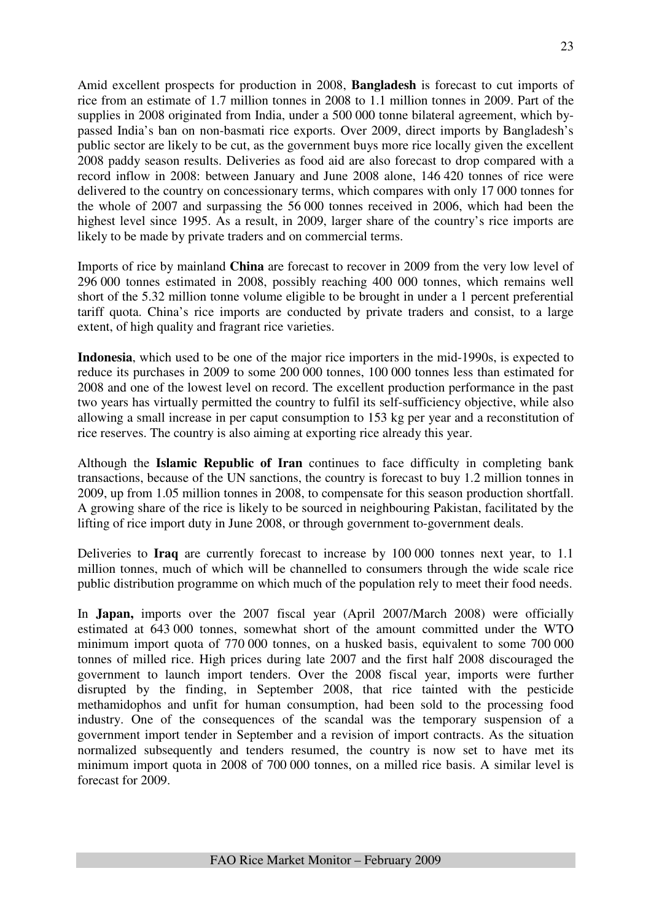Amid excellent prospects for production in 2008, **Bangladesh** is forecast to cut imports of rice from an estimate of 1.7 million tonnes in 2008 to 1.1 million tonnes in 2009. Part of the supplies in 2008 originated from India, under a 500 000 tonne bilateral agreement, which bypassed India's ban on non-basmati rice exports. Over 2009, direct imports by Bangladesh's public sector are likely to be cut, as the government buys more rice locally given the excellent 2008 paddy season results. Deliveries as food aid are also forecast to drop compared with a record inflow in 2008: between January and June 2008 alone, 146 420 tonnes of rice were delivered to the country on concessionary terms, which compares with only 17 000 tonnes for the whole of 2007 and surpassing the 56 000 tonnes received in 2006, which had been the highest level since 1995. As a result, in 2009, larger share of the country's rice imports are likely to be made by private traders and on commercial terms.

Imports of rice by mainland **China** are forecast to recover in 2009 from the very low level of 296 000 tonnes estimated in 2008, possibly reaching 400 000 tonnes, which remains well short of the 5.32 million tonne volume eligible to be brought in under a 1 percent preferential tariff quota. China's rice imports are conducted by private traders and consist, to a large extent, of high quality and fragrant rice varieties.

**Indonesia**, which used to be one of the major rice importers in the mid-1990s, is expected to reduce its purchases in 2009 to some 200 000 tonnes, 100 000 tonnes less than estimated for 2008 and one of the lowest level on record. The excellent production performance in the past two years has virtually permitted the country to fulfil its self-sufficiency objective, while also allowing a small increase in per caput consumption to 153 kg per year and a reconstitution of rice reserves. The country is also aiming at exporting rice already this year.

Although the **Islamic Republic of Iran** continues to face difficulty in completing bank transactions, because of the UN sanctions, the country is forecast to buy 1.2 million tonnes in 2009, up from 1.05 million tonnes in 2008, to compensate for this season production shortfall. A growing share of the rice is likely to be sourced in neighbouring Pakistan, facilitated by the lifting of rice import duty in June 2008, or through government to-government deals.

Deliveries to **Iraq** are currently forecast to increase by 100 000 tonnes next year, to 1.1 million tonnes, much of which will be channelled to consumers through the wide scale rice public distribution programme on which much of the population rely to meet their food needs.

In **Japan,** imports over the 2007 fiscal year (April 2007/March 2008) were officially estimated at 643 000 tonnes, somewhat short of the amount committed under the WTO minimum import quota of 770 000 tonnes, on a husked basis, equivalent to some 700 000 tonnes of milled rice. High prices during late 2007 and the first half 2008 discouraged the government to launch import tenders. Over the 2008 fiscal year, imports were further disrupted by the finding, in September 2008, that rice tainted with the pesticide methamidophos and unfit for human consumption, had been sold to the processing food industry. One of the consequences of the scandal was the temporary suspension of a government import tender in September and a revision of import contracts. As the situation normalized subsequently and tenders resumed, the country is now set to have met its minimum import quota in 2008 of 700 000 tonnes, on a milled rice basis. A similar level is forecast for 2009.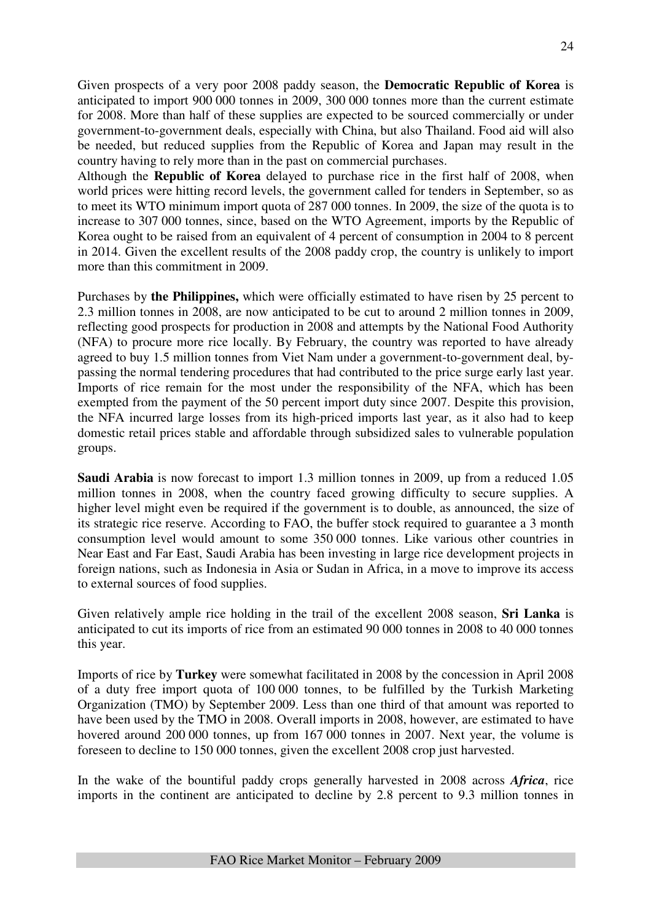Given prospects of a very poor 2008 paddy season, the **Democratic Republic of Korea** is anticipated to import 900 000 tonnes in 2009, 300 000 tonnes more than the current estimate for 2008. More than half of these supplies are expected to be sourced commercially or under government-to-government deals, especially with China, but also Thailand. Food aid will also be needed, but reduced supplies from the Republic of Korea and Japan may result in the country having to rely more than in the past on commercial purchases.

Although the **Republic of Korea** delayed to purchase rice in the first half of 2008, when world prices were hitting record levels, the government called for tenders in September, so as to meet its WTO minimum import quota of 287 000 tonnes. In 2009, the size of the quota is to increase to 307 000 tonnes, since, based on the WTO Agreement, imports by the Republic of Korea ought to be raised from an equivalent of 4 percent of consumption in 2004 to 8 percent in 2014. Given the excellent results of the 2008 paddy crop, the country is unlikely to import more than this commitment in 2009.

Purchases by **the Philippines,** which were officially estimated to have risen by 25 percent to 2.3 million tonnes in 2008, are now anticipated to be cut to around 2 million tonnes in 2009, reflecting good prospects for production in 2008 and attempts by the National Food Authority (NFA) to procure more rice locally. By February, the country was reported to have already agreed to buy 1.5 million tonnes from Viet Nam under a government-to-government deal, bypassing the normal tendering procedures that had contributed to the price surge early last year. Imports of rice remain for the most under the responsibility of the NFA, which has been exempted from the payment of the 50 percent import duty since 2007. Despite this provision, the NFA incurred large losses from its high-priced imports last year, as it also had to keep domestic retail prices stable and affordable through subsidized sales to vulnerable population groups.

**Saudi Arabia** is now forecast to import 1.3 million tonnes in 2009, up from a reduced 1.05 million tonnes in 2008, when the country faced growing difficulty to secure supplies. A higher level might even be required if the government is to double, as announced, the size of its strategic rice reserve. According to FAO, the buffer stock required to guarantee a 3 month consumption level would amount to some 350 000 tonnes. Like various other countries in Near East and Far East, Saudi Arabia has been investing in large rice development projects in foreign nations, such as Indonesia in Asia or Sudan in Africa, in a move to improve its access to external sources of food supplies.

Given relatively ample rice holding in the trail of the excellent 2008 season, **Sri Lanka** is anticipated to cut its imports of rice from an estimated 90 000 tonnes in 2008 to 40 000 tonnes this year.

Imports of rice by **Turkey** were somewhat facilitated in 2008 by the concession in April 2008 of a duty free import quota of 100 000 tonnes, to be fulfilled by the Turkish Marketing Organization (TMO) by September 2009. Less than one third of that amount was reported to have been used by the TMO in 2008. Overall imports in 2008, however, are estimated to have hovered around 200 000 tonnes, up from 167 000 tonnes in 2007. Next year, the volume is foreseen to decline to 150 000 tonnes, given the excellent 2008 crop just harvested.

In the wake of the bountiful paddy crops generally harvested in 2008 across *Africa*, rice imports in the continent are anticipated to decline by 2.8 percent to 9.3 million tonnes in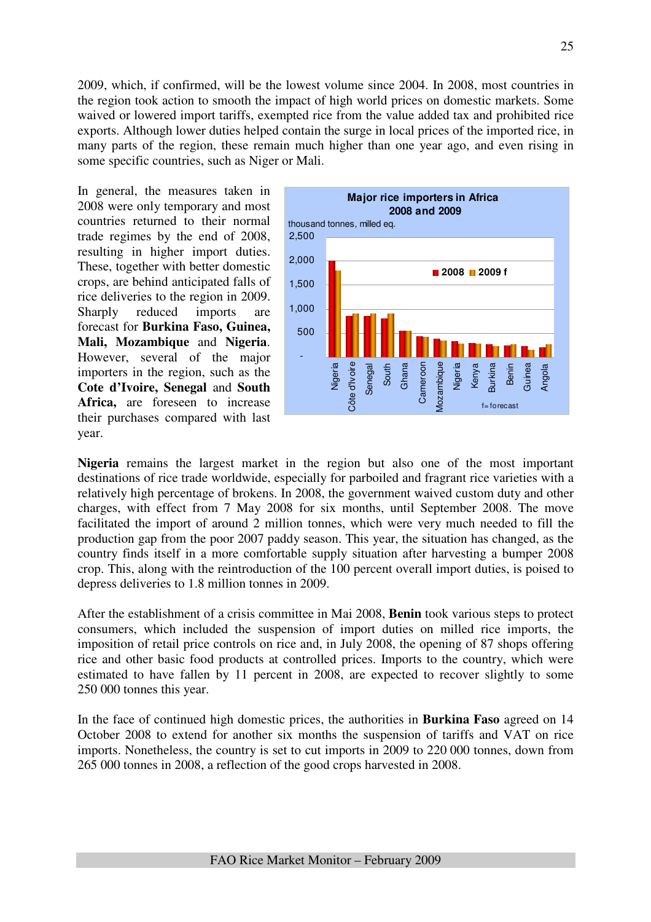2009, which, if confirmed, will be the lowest volume since 2004. In 2008, most countries in the region took action to smooth the impact of high world prices on domestic markets. Some waived or lowered import tariffs, exempted rice from the value added tax and prohibited rice exports. Although lower duties helped contain the surge in local prices of the imported rice, in many parts of the region, these remain much higher than one year ago, and even rising in some specific countries, such as Niger or Mali.

In general, the measures taken in 2008 were only temporary and most countries returned to their normal trade regimes by the end of 2008, resulting in higher import duties. These, together with better domestic crops, are behind anticipated falls of rice deliveries to the region in 2009. Sharply reduced imports are forecast for **Burkina Faso, Guinea, Mali, Mozambique** and **Nigeria**. However, several of the major importers in the region, such as the **Cote d'Ivoire, Senegal** and **South Africa,** are foreseen to increase their purchases compared with last year.



**Nigeria** remains the largest market in the region but also one of the most important destinations of rice trade worldwide, especially for parboiled and fragrant rice varieties with a relatively high percentage of brokens. In 2008, the government waived custom duty and other charges, with effect from 7 May 2008 for six months, until September 2008. The move facilitated the import of around 2 million tonnes, which were very much needed to fill the production gap from the poor 2007 paddy season. This year, the situation has changed, as the country finds itself in a more comfortable supply situation after harvesting a bumper 2008 crop. This, along with the reintroduction of the 100 percent overall import duties, is poised to depress deliveries to 1.8 million tonnes in 2009.

After the establishment of a crisis committee in Mai 2008, **Benin** took various steps to protect consumers, which included the suspension of import duties on milled rice imports, the imposition of retail price controls on rice and, in July 2008, the opening of 87 shops offering rice and other basic food products at controlled prices. Imports to the country, which were estimated to have fallen by 11 percent in 2008, are expected to recover slightly to some 250 000 tonnes this year.

In the face of continued high domestic prices, the authorities in **Burkina Faso** agreed on 14 October 2008 to extend for another six months the suspension of tariffs and VAT on rice imports. Nonetheless, the country is set to cut imports in 2009 to 220 000 tonnes, down from 265 000 tonnes in 2008, a reflection of the good crops harvested in 2008.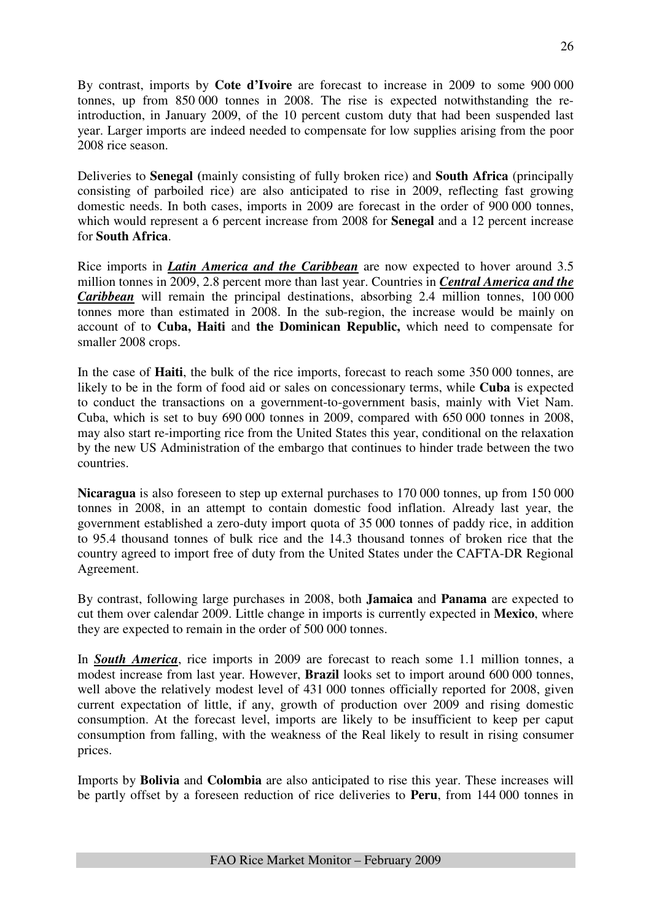By contrast, imports by **Cote d'Ivoire** are forecast to increase in 2009 to some 900 000 tonnes, up from 850 000 tonnes in 2008. The rise is expected notwithstanding the reintroduction, in January 2009, of the 10 percent custom duty that had been suspended last year. Larger imports are indeed needed to compensate for low supplies arising from the poor 2008 rice season.

Deliveries to **Senegal (**mainly consisting of fully broken rice) and **South Africa** (principally consisting of parboiled rice) are also anticipated to rise in 2009, reflecting fast growing domestic needs. In both cases, imports in 2009 are forecast in the order of 900 000 tonnes, which would represent a 6 percent increase from 2008 for **Senegal** and a 12 percent increase for **South Africa**.

Rice imports in *Latin America and the Caribbean* are now expected to hover around 3.5 million tonnes in 2009, 2.8 percent more than last year. Countries in *Central America and the Caribbean* will remain the principal destinations, absorbing 2.4 million tonnes, 100 000 tonnes more than estimated in 2008. In the sub-region, the increase would be mainly on account of to **Cuba, Haiti** and **the Dominican Republic,** which need to compensate for smaller 2008 crops.

In the case of **Haiti**, the bulk of the rice imports, forecast to reach some 350 000 tonnes, are likely to be in the form of food aid or sales on concessionary terms, while **Cuba** is expected to conduct the transactions on a government-to-government basis, mainly with Viet Nam. Cuba, which is set to buy 690 000 tonnes in 2009, compared with 650 000 tonnes in 2008, may also start re-importing rice from the United States this year, conditional on the relaxation by the new US Administration of the embargo that continues to hinder trade between the two countries.

**Nicaragua** is also foreseen to step up external purchases to 170 000 tonnes, up from 150 000 tonnes in 2008, in an attempt to contain domestic food inflation. Already last year, the government established a zero-duty import quota of 35 000 tonnes of paddy rice, in addition to 95.4 thousand tonnes of bulk rice and the 14.3 thousand tonnes of broken rice that the country agreed to import free of duty from the United States under the CAFTA-DR Regional Agreement.

By contrast, following large purchases in 2008, both **Jamaica** and **Panama** are expected to cut them over calendar 2009. Little change in imports is currently expected in **Mexico**, where they are expected to remain in the order of 500 000 tonnes.

In *South America*, rice imports in 2009 are forecast to reach some 1.1 million tonnes, a modest increase from last year. However, **Brazil** looks set to import around 600 000 tonnes, well above the relatively modest level of 431 000 tonnes officially reported for 2008, given current expectation of little, if any, growth of production over 2009 and rising domestic consumption. At the forecast level, imports are likely to be insufficient to keep per caput consumption from falling, with the weakness of the Real likely to result in rising consumer prices.

Imports by **Bolivia** and **Colombia** are also anticipated to rise this year. These increases will be partly offset by a foreseen reduction of rice deliveries to **Peru**, from 144 000 tonnes in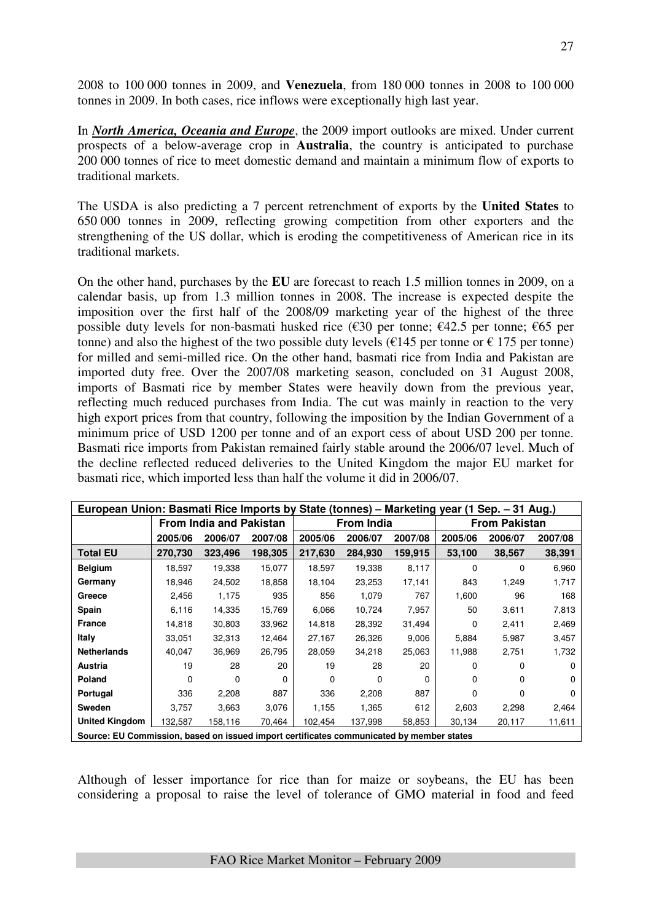2008 to 100 000 tonnes in 2009, and **Venezuela**, from 180 000 tonnes in 2008 to 100 000 tonnes in 2009. In both cases, rice inflows were exceptionally high last year.

In *North America, Oceania and Europe*, the 2009 import outlooks are mixed. Under current prospects of a below-average crop in **Australia**, the country is anticipated to purchase 200 000 tonnes of rice to meet domestic demand and maintain a minimum flow of exports to traditional markets.

The USDA is also predicting a 7 percent retrenchment of exports by the **United States** to 650 000 tonnes in 2009, reflecting growing competition from other exporters and the strengthening of the US dollar, which is eroding the competitiveness of American rice in its traditional markets.

On the other hand, purchases by the **EU** are forecast to reach 1.5 million tonnes in 2009, on a calendar basis, up from 1.3 million tonnes in 2008. The increase is expected despite the imposition over the first half of the 2008/09 marketing year of the highest of the three possible duty levels for non-basmati husked rice ( $\epsilon$ 30 per tonne;  $\epsilon$ 42.5 per tonne;  $\epsilon$ 65 per tonne) and also the highest of the two possible duty levels ( $\epsilon$ 145 per tonne or  $\epsilon$  175 per tonne) for milled and semi-milled rice. On the other hand, basmati rice from India and Pakistan are imported duty free. Over the 2007/08 marketing season, concluded on 31 August 2008, imports of Basmati rice by member States were heavily down from the previous year, reflecting much reduced purchases from India. The cut was mainly in reaction to the very high export prices from that country, following the imposition by the Indian Government of a minimum price of USD 1200 per tonne and of an export cess of about USD 200 per tonne. Basmati rice imports from Pakistan remained fairly stable around the 2006/07 level. Much of the decline reflected reduced deliveries to the United Kingdom the major EU market for basmati rice, which imported less than half the volume it did in 2006/07.

| European Union: Basmati Rice Imports by State (tonnes) – Marketing year (1 Sep. – 31 Aug.) |          |                                |         |         |                   |          |          |                      |         |  |  |
|--------------------------------------------------------------------------------------------|----------|--------------------------------|---------|---------|-------------------|----------|----------|----------------------|---------|--|--|
|                                                                                            |          | <b>From India and Pakistan</b> |         |         | <b>From India</b> |          |          | <b>From Pakistan</b> |         |  |  |
|                                                                                            | 2005/06  | 2006/07                        | 2007/08 | 2005/06 | 2006/07           | 2007/08  | 2005/06  | 2006/07              | 2007/08 |  |  |
| <b>Total EU</b>                                                                            | 270,730  | 323,496                        | 198,305 | 217,630 | 284.930           | 159,915  | 53,100   | 38,567               | 38,391  |  |  |
| <b>Belgium</b>                                                                             | 18,597   | 19,338                         | 15,077  | 18,597  | 19,338            | 8,117    | $\Omega$ | 0                    | 6,960   |  |  |
| 24,502<br>Germany<br>18,946                                                                |          |                                | 18,858  | 18,104  | 23,253            | 17,141   | 843      | 1,249                | 1,717   |  |  |
| Greece                                                                                     | 2,456    | 1,175                          | 935     | 856     | 1,079             | 767      | 1,600    | 96                   | 168     |  |  |
| Spain                                                                                      | 6,116    | 14,335                         | 15,769  | 6,066   | 10,724            | 7,957    | 50       | 3,611                | 7,813   |  |  |
| <b>France</b>                                                                              | 14,818   | 30,803                         | 33,962  | 14,818  | 28,392            | 31,494   | 0        | 2,411                | 2,469   |  |  |
| Italy                                                                                      | 33.051   | 32,313                         | 12,464  | 27,167  | 26,326            | 9,006    | 5,884    | 5,987                | 3,457   |  |  |
| <b>Netherlands</b>                                                                         | 40,047   | 36,969                         | 26,795  | 28,059  | 34,218            | 25,063   | 11,988   | 2,751                | 1,732   |  |  |
| Austria                                                                                    | 19       | 28                             | 20      | 19      | 28                | 20       | 0        | 0                    | O       |  |  |
| Poland                                                                                     | $\Omega$ | 0                              | 0       | 0       | 0                 | $\Omega$ | 0        | 0                    |         |  |  |
| Portugal                                                                                   | 336      | 2,208                          | 887     | 336     | 2,208             | 887      | 0        | 0                    | 0       |  |  |
| <b>Sweden</b>                                                                              | 3.757    | 3,663                          | 3,076   | 1,155   | 1,365             | 612      | 2,603    | 2,298                | 2,464   |  |  |
| <b>United Kingdom</b><br>132,587<br>158,116<br>70,464                                      |          |                                |         |         | 137,998           | 58,853   | 30,134   | 20,117               | 11,611  |  |  |
| Source: EU Commission, based on issued import certificates communicated by member states   |          |                                |         |         |                   |          |          |                      |         |  |  |

Although of lesser importance for rice than for maize or soybeans, the EU has been considering a proposal to raise the level of tolerance of GMO material in food and feed

FAO Rice Market Monitor – February 2009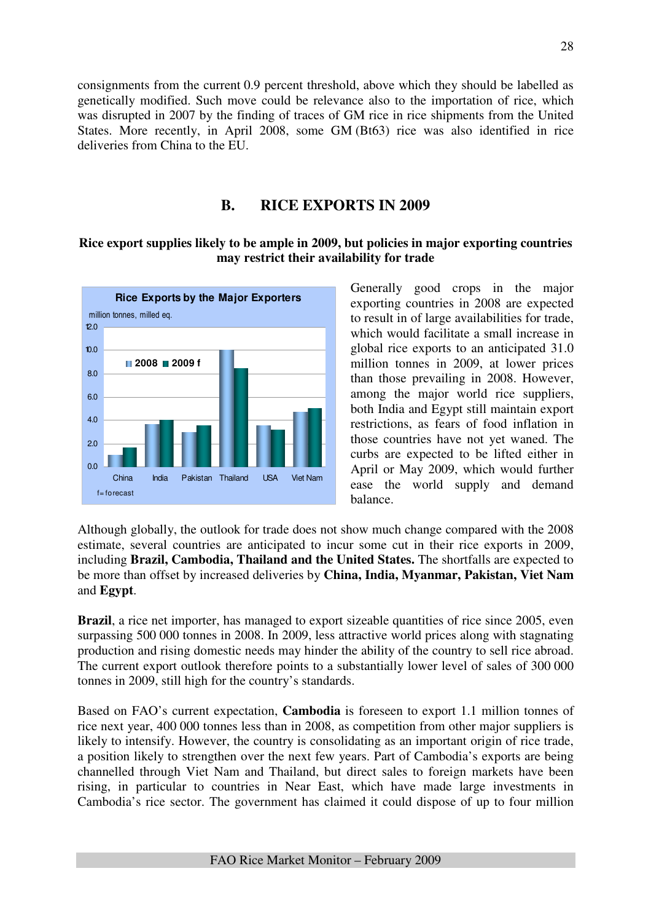consignments from the current 0.9 percent threshold, above which they should be labelled as genetically modified. Such move could be relevance also to the importation of rice, which was disrupted in 2007 by the finding of traces of GM rice in rice shipments from the United States. More recently, in April 2008, some GM (Bt63) rice was also identified in rice deliveries from China to the EU.

## **B. RICE EXPORTS IN 2009**

## **Rice export supplies likely to be ample in 2009, but policies in major exporting countries may restrict their availability for trade**



Generally good crops in the major exporting countries in 2008 are expected to result in of large availabilities for trade, which would facilitate a small increase in global rice exports to an anticipated 31.0 million tonnes in 2009, at lower prices than those prevailing in 2008. However, among the major world rice suppliers, both India and Egypt still maintain export restrictions, as fears of food inflation in those countries have not yet waned. The curbs are expected to be lifted either in April or May 2009, which would further ease the world supply and demand balance.

Although globally, the outlook for trade does not show much change compared with the 2008 estimate, several countries are anticipated to incur some cut in their rice exports in 2009, including **Brazil, Cambodia, Thailand and the United States.** The shortfalls are expected to be more than offset by increased deliveries by **China, India, Myanmar, Pakistan, Viet Nam**  and **Egypt**.

**Brazil**, a rice net importer, has managed to export sizeable quantities of rice since 2005, even surpassing 500 000 tonnes in 2008. In 2009, less attractive world prices along with stagnating production and rising domestic needs may hinder the ability of the country to sell rice abroad. The current export outlook therefore points to a substantially lower level of sales of 300 000 tonnes in 2009, still high for the country's standards.

Based on FAO's current expectation, **Cambodia** is foreseen to export 1.1 million tonnes of rice next year, 400 000 tonnes less than in 2008, as competition from other major suppliers is likely to intensify. However, the country is consolidating as an important origin of rice trade, a position likely to strengthen over the next few years. Part of Cambodia's exports are being channelled through Viet Nam and Thailand, but direct sales to foreign markets have been rising, in particular to countries in Near East, which have made large investments in Cambodia's rice sector. The government has claimed it could dispose of up to four million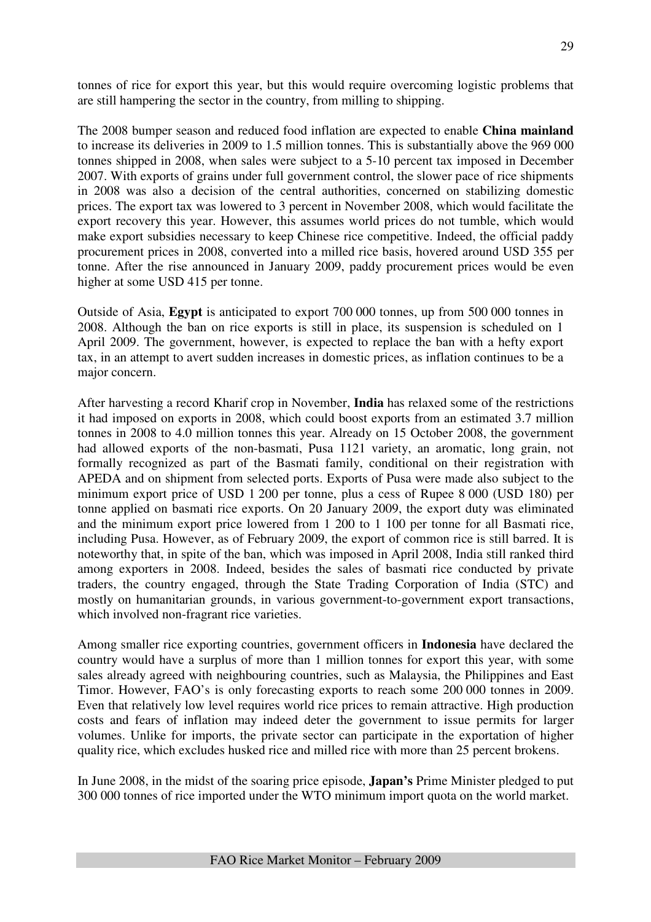tonnes of rice for export this year, but this would require overcoming logistic problems that are still hampering the sector in the country, from milling to shipping.

The 2008 bumper season and reduced food inflation are expected to enable **China mainland** to increase its deliveries in 2009 to 1.5 million tonnes. This is substantially above the 969 000 tonnes shipped in 2008, when sales were subject to a 5-10 percent tax imposed in December 2007. With exports of grains under full government control, the slower pace of rice shipments in 2008 was also a decision of the central authorities, concerned on stabilizing domestic prices. The export tax was lowered to 3 percent in November 2008, which would facilitate the export recovery this year. However, this assumes world prices do not tumble, which would make export subsidies necessary to keep Chinese rice competitive. Indeed, the official paddy procurement prices in 2008, converted into a milled rice basis, hovered around USD 355 per tonne. After the rise announced in January 2009, paddy procurement prices would be even higher at some USD 415 per tonne.

Outside of Asia, **Egypt** is anticipated to export 700 000 tonnes, up from 500 000 tonnes in 2008. Although the ban on rice exports is still in place, its suspension is scheduled on 1 April 2009. The government, however, is expected to replace the ban with a hefty export tax, in an attempt to avert sudden increases in domestic prices, as inflation continues to be a major concern.

After harvesting a record Kharif crop in November, **India** has relaxed some of the restrictions it had imposed on exports in 2008, which could boost exports from an estimated 3.7 million tonnes in 2008 to 4.0 million tonnes this year. Already on 15 October 2008, the government had allowed exports of the non-basmati, Pusa 1121 variety, an aromatic, long grain, not formally recognized as part of the Basmati family, conditional on their registration with APEDA and on shipment from selected ports. Exports of Pusa were made also subject to the minimum export price of USD 1 200 per tonne, plus a cess of Rupee 8 000 (USD 180) per tonne applied on basmati rice exports. On 20 January 2009, the export duty was eliminated and the minimum export price lowered from 1 200 to 1 100 per tonne for all Basmati rice, including Pusa. However, as of February 2009, the export of common rice is still barred. It is noteworthy that, in spite of the ban, which was imposed in April 2008, India still ranked third among exporters in 2008. Indeed, besides the sales of basmati rice conducted by private traders, the country engaged, through the State Trading Corporation of India (STC) and mostly on humanitarian grounds, in various government-to-government export transactions, which involved non-fragrant rice varieties.

Among smaller rice exporting countries, government officers in **Indonesia** have declared the country would have a surplus of more than 1 million tonnes for export this year, with some sales already agreed with neighbouring countries, such as Malaysia, the Philippines and East Timor. However, FAO's is only forecasting exports to reach some 200 000 tonnes in 2009. Even that relatively low level requires world rice prices to remain attractive. High production costs and fears of inflation may indeed deter the government to issue permits for larger volumes. Unlike for imports, the private sector can participate in the exportation of higher quality rice, which excludes husked rice and milled rice with more than 25 percent brokens.

In June 2008, in the midst of the soaring price episode, **Japan's** Prime Minister pledged to put 300 000 tonnes of rice imported under the WTO minimum import quota on the world market.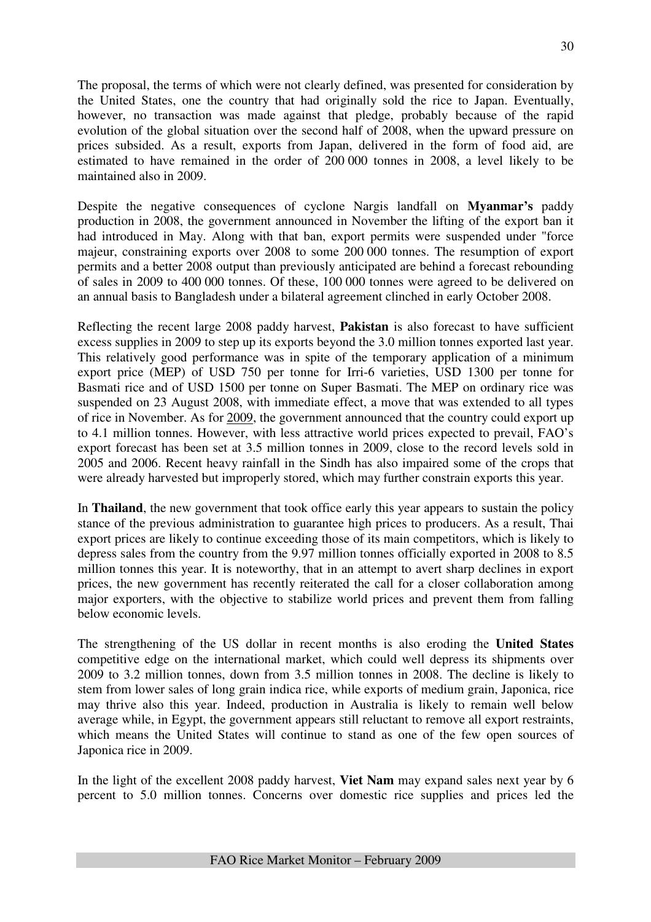The proposal, the terms of which were not clearly defined, was presented for consideration by the United States, one the country that had originally sold the rice to Japan. Eventually, however, no transaction was made against that pledge, probably because of the rapid evolution of the global situation over the second half of 2008, when the upward pressure on prices subsided. As a result, exports from Japan, delivered in the form of food aid, are estimated to have remained in the order of 200 000 tonnes in 2008, a level likely to be maintained also in 2009.

Despite the negative consequences of cyclone Nargis landfall on **Myanmar's** paddy production in 2008, the government announced in November the lifting of the export ban it had introduced in May. Along with that ban, export permits were suspended under "force majeur, constraining exports over 2008 to some 200 000 tonnes. The resumption of export permits and a better 2008 output than previously anticipated are behind a forecast rebounding of sales in 2009 to 400 000 tonnes. Of these, 100 000 tonnes were agreed to be delivered on an annual basis to Bangladesh under a bilateral agreement clinched in early October 2008.

Reflecting the recent large 2008 paddy harvest, **Pakistan** is also forecast to have sufficient excess supplies in 2009 to step up its exports beyond the 3.0 million tonnes exported last year. This relatively good performance was in spite of the temporary application of a minimum export price (MEP) of USD 750 per tonne for Irri-6 varieties, USD 1300 per tonne for Basmati rice and of USD 1500 per tonne on Super Basmati. The MEP on ordinary rice was suspended on 23 August 2008, with immediate effect, a move that was extended to all types of rice in November. As for 2009, the government announced that the country could export up to 4.1 million tonnes. However, with less attractive world prices expected to prevail, FAO's export forecast has been set at 3.5 million tonnes in 2009, close to the record levels sold in 2005 and 2006. Recent heavy rainfall in the Sindh has also impaired some of the crops that were already harvested but improperly stored, which may further constrain exports this year.

In **Thailand**, the new government that took office early this year appears to sustain the policy stance of the previous administration to guarantee high prices to producers. As a result, Thai export prices are likely to continue exceeding those of its main competitors, which is likely to depress sales from the country from the 9.97 million tonnes officially exported in 2008 to 8.5 million tonnes this year. It is noteworthy, that in an attempt to avert sharp declines in export prices, the new government has recently reiterated the call for a closer collaboration among major exporters, with the objective to stabilize world prices and prevent them from falling below economic levels.

The strengthening of the US dollar in recent months is also eroding the **United States** competitive edge on the international market, which could well depress its shipments over 2009 to 3.2 million tonnes, down from 3.5 million tonnes in 2008. The decline is likely to stem from lower sales of long grain indica rice, while exports of medium grain, Japonica, rice may thrive also this year. Indeed, production in Australia is likely to remain well below average while, in Egypt, the government appears still reluctant to remove all export restraints, which means the United States will continue to stand as one of the few open sources of Japonica rice in 2009.

In the light of the excellent 2008 paddy harvest, **Viet Nam** may expand sales next year by 6 percent to 5.0 million tonnes. Concerns over domestic rice supplies and prices led the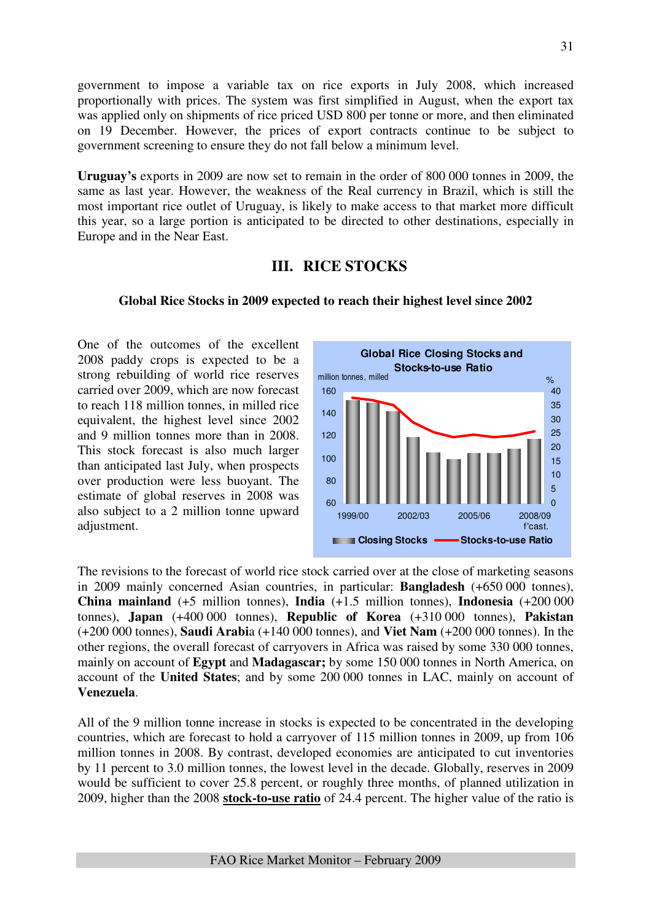government to impose a variable tax on rice exports in July 2008, which increased proportionally with prices. The system was first simplified in August, when the export tax was applied only on shipments of rice priced USD 800 per tonne or more, and then eliminated on 19 December. However, the prices of export contracts continue to be subject to government screening to ensure they do not fall below a minimum level.

**Uruguay's** exports in 2009 are now set to remain in the order of 800 000 tonnes in 2009, the same as last year. However, the weakness of the Real currency in Brazil, which is still the most important rice outlet of Uruguay, is likely to make access to that market more difficult this year, so a large portion is anticipated to be directed to other destinations, especially in Europe and in the Near East.

## **III. RICE STOCKS**

## **Global Rice Stocks in 2009 expected to reach their highest level since 2002**

One of the outcomes of the excellent 2008 paddy crops is expected to be a strong rebuilding of world rice reserves carried over 2009, which are now forecast to reach 118 million tonnes, in milled rice equivalent, the highest level since 2002 and 9 million tonnes more than in 2008. This stock forecast is also much larger than anticipated last July, when prospects over production were less buoyant. The estimate of global reserves in 2008 was also subject to a 2 million tonne upward adjustment.



The revisions to the forecast of world rice stock carried over at the close of marketing seasons in 2009 mainly concerned Asian countries, in particular: **Bangladesh** (+650 000 tonnes), **China mainland** (+5 million tonnes), **India** (+1.5 million tonnes), **Indonesia** (+200 000 tonnes), **Japan** (+400 000 tonnes), **Republic of Korea** (+310 000 tonnes), **Pakistan** (+200 000 tonnes), **Saudi Arabi**a (+140 000 tonnes), and **Viet Nam** (+200 000 tonnes). In the other regions, the overall forecast of carryovers in Africa was raised by some 330 000 tonnes, mainly on account of **Egypt** and **Madagascar;** by some 150 000 tonnes in North America, on account of the **United States**; and by some 200 000 tonnes in LAC, mainly on account of **Venezuela**.

All of the 9 million tonne increase in stocks is expected to be concentrated in the developing countries, which are forecast to hold a carryover of 115 million tonnes in 2009, up from 106 million tonnes in 2008. By contrast, developed economies are anticipated to cut inventories by 11 percent to 3.0 million tonnes, the lowest level in the decade. Globally, reserves in 2009 would be sufficient to cover 25.8 percent, or roughly three months, of planned utilization in 2009, higher than the 2008 **stock-to-use ratio** of 24.4 percent. The higher value of the ratio is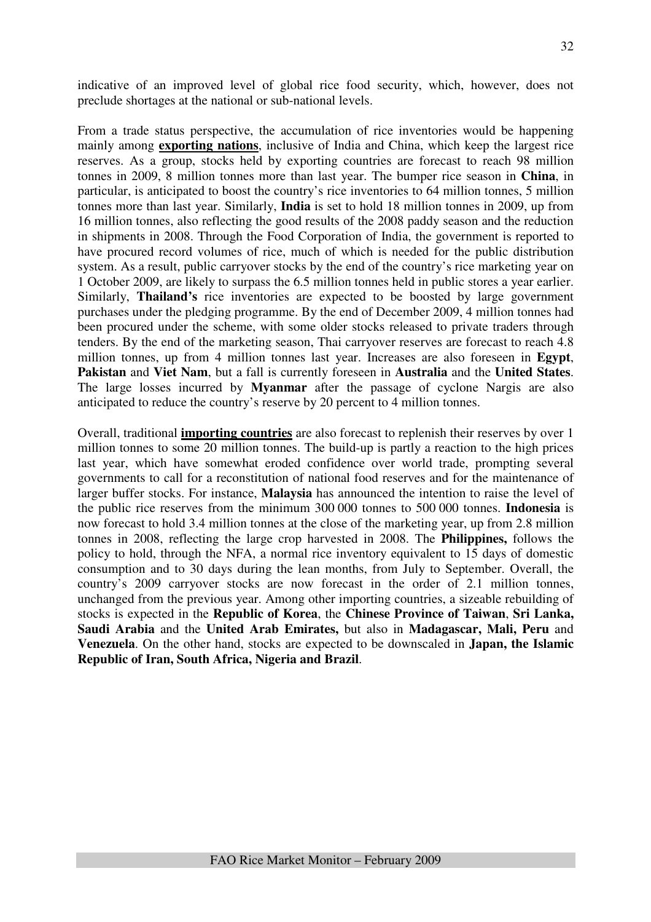indicative of an improved level of global rice food security, which, however, does not preclude shortages at the national or sub-national levels.

From a trade status perspective, the accumulation of rice inventories would be happening mainly among **exporting nations**, inclusive of India and China, which keep the largest rice reserves. As a group, stocks held by exporting countries are forecast to reach 98 million tonnes in 2009, 8 million tonnes more than last year. The bumper rice season in **China**, in particular, is anticipated to boost the country's rice inventories to 64 million tonnes, 5 million tonnes more than last year. Similarly, **India** is set to hold 18 million tonnes in 2009, up from 16 million tonnes, also reflecting the good results of the 2008 paddy season and the reduction in shipments in 2008. Through the Food Corporation of India, the government is reported to have procured record volumes of rice, much of which is needed for the public distribution system. As a result, public carryover stocks by the end of the country's rice marketing year on 1 October 2009, are likely to surpass the 6.5 million tonnes held in public stores a year earlier. Similarly, **Thailand's** rice inventories are expected to be boosted by large government purchases under the pledging programme. By the end of December 2009, 4 million tonnes had been procured under the scheme, with some older stocks released to private traders through tenders. By the end of the marketing season, Thai carryover reserves are forecast to reach 4.8 million tonnes, up from 4 million tonnes last year. Increases are also foreseen in **Egypt**, **Pakistan** and **Viet Nam**, but a fall is currently foreseen in **Australia** and the **United States**. The large losses incurred by **Myanmar** after the passage of cyclone Nargis are also anticipated to reduce the country's reserve by 20 percent to 4 million tonnes.

Overall, traditional **importing countries** are also forecast to replenish their reserves by over 1 million tonnes to some 20 million tonnes. The build-up is partly a reaction to the high prices last year, which have somewhat eroded confidence over world trade, prompting several governments to call for a reconstitution of national food reserves and for the maintenance of larger buffer stocks. For instance, **Malaysia** has announced the intention to raise the level of the public rice reserves from the minimum 300 000 tonnes to 500 000 tonnes. **Indonesia** is now forecast to hold 3.4 million tonnes at the close of the marketing year, up from 2.8 million tonnes in 2008, reflecting the large crop harvested in 2008. The **Philippines,** follows the policy to hold, through the NFA, a normal rice inventory equivalent to 15 days of domestic consumption and to 30 days during the lean months, from July to September. Overall, the country's 2009 carryover stocks are now forecast in the order of 2.1 million tonnes, unchanged from the previous year. Among other importing countries, a sizeable rebuilding of stocks is expected in the **Republic of Korea**, the **Chinese Province of Taiwan**, **Sri Lanka, Saudi Arabia** and the **United Arab Emirates,** but also in **Madagascar, Mali, Peru** and **Venezuela**. On the other hand, stocks are expected to be downscaled in **Japan, the Islamic Republic of Iran, South Africa, Nigeria and Brazil**.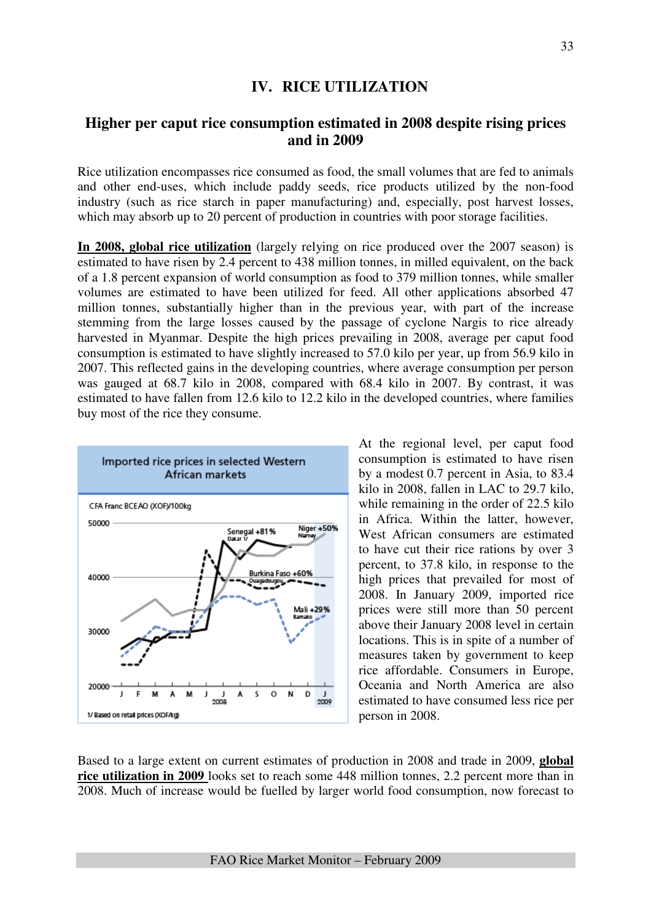## **IV. RICE UTILIZATION**

## **Higher per caput rice consumption estimated in 2008 despite rising prices and in 2009**

Rice utilization encompasses rice consumed as food, the small volumes that are fed to animals and other end-uses, which include paddy seeds, rice products utilized by the non-food industry (such as rice starch in paper manufacturing) and, especially, post harvest losses, which may absorb up to 20 percent of production in countries with poor storage facilities.

**In 2008, global rice utilization** (largely relying on rice produced over the 2007 season) is estimated to have risen by 2.4 percent to 438 million tonnes, in milled equivalent, on the back of a 1.8 percent expansion of world consumption as food to 379 million tonnes, while smaller volumes are estimated to have been utilized for feed. All other applications absorbed 47 million tonnes, substantially higher than in the previous year, with part of the increase stemming from the large losses caused by the passage of cyclone Nargis to rice already harvested in Myanmar. Despite the high prices prevailing in 2008, average per caput food consumption is estimated to have slightly increased to 57.0 kilo per year, up from 56.9 kilo in 2007. This reflected gains in the developing countries, where average consumption per person was gauged at 68.7 kilo in 2008, compared with 68.4 kilo in 2007. By contrast, it was estimated to have fallen from 12.6 kilo to 12.2 kilo in the developed countries, where families buy most of the rice they consume.



At the regional level, per caput food consumption is estimated to have risen by a modest 0.7 percent in Asia, to 83.4 kilo in 2008, fallen in LAC to 29.7 kilo, while remaining in the order of 22.5 kilo in Africa. Within the latter, however, West African consumers are estimated to have cut their rice rations by over 3 percent, to 37.8 kilo, in response to the high prices that prevailed for most of 2008. In January 2009, imported rice prices were still more than 50 percent above their January 2008 level in certain locations. This is in spite of a number of measures taken by government to keep rice affordable. Consumers in Europe, Oceania and North America are also estimated to have consumed less rice per person in 2008.

Based to a large extent on current estimates of production in 2008 and trade in 2009, **global rice utilization in 2009** looks set to reach some 448 million tonnes, 2.2 percent more than in 2008. Much of increase would be fuelled by larger world food consumption, now forecast to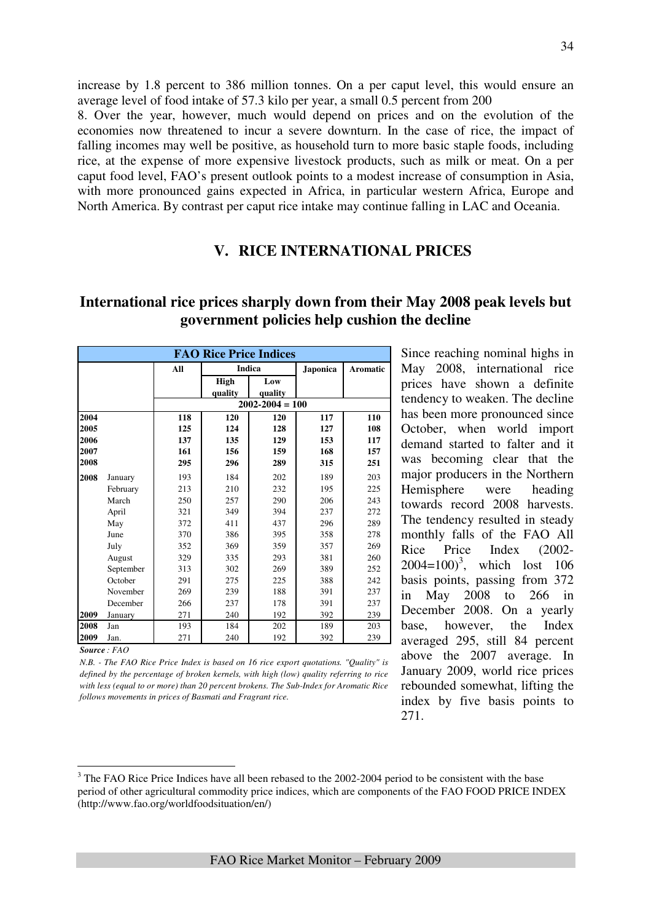increase by 1.8 percent to 386 million tonnes. On a per caput level, this would ensure an average level of food intake of 57.3 kilo per year, a small 0.5 percent from 200

8. Over the year, however, much would depend on prices and on the evolution of the economies now threatened to incur a severe downturn. In the case of rice, the impact of falling incomes may well be positive, as household turn to more basic staple foods, including rice, at the expense of more expensive livestock products, such as milk or meat. On a per caput food level, FAO's present outlook points to a modest increase of consumption in Asia, with more pronounced gains expected in Africa, in particular western Africa, Europe and North America. By contrast per caput rice intake may continue falling in LAC and Oceania.

## **V. RICE INTERNATIONAL PRICES**

## **International rice prices sharply down from their May 2008 peak levels but government policies help cushion the decline**

|      | <b>FAO Rice Price Indices</b> |                          |             |                     |          |                 |  |  |  |  |  |  |
|------|-------------------------------|--------------------------|-------------|---------------------|----------|-----------------|--|--|--|--|--|--|
|      |                               | All                      |             | Indica              | Japonica | <b>Aromatic</b> |  |  |  |  |  |  |
|      |                               |                          | <b>High</b> | Low                 |          |                 |  |  |  |  |  |  |
|      |                               |                          | quality     | quality             |          |                 |  |  |  |  |  |  |
|      |                               |                          |             | $2002 - 2004 = 100$ |          |                 |  |  |  |  |  |  |
| 2004 |                               | 118<br>120<br>120<br>117 |             |                     |          |                 |  |  |  |  |  |  |
| 2005 |                               | 125                      | 124         | 128                 | 127      | 108             |  |  |  |  |  |  |
| 2006 |                               | 137                      | 135         | 129                 | 153      | 117             |  |  |  |  |  |  |
| 2007 |                               | 161                      | 156         | 168                 | 157      |                 |  |  |  |  |  |  |
| 2008 |                               | 295                      | 296         | 315                 | 251      |                 |  |  |  |  |  |  |
| 2008 | January                       | 193                      | 184         | 202                 | 189      | 203             |  |  |  |  |  |  |
|      | February                      | 213                      | 210         | 232                 | 195      | 225             |  |  |  |  |  |  |
|      | March                         | 250                      | 257         | 290                 | 206      | 243             |  |  |  |  |  |  |
|      | April                         | 321                      | 349         | 394                 | 237      | 272             |  |  |  |  |  |  |
|      | May                           | 372                      | 411         | 437                 | 296      | 289             |  |  |  |  |  |  |
|      | June                          | 370                      | 386         | 395                 | 358      | 278             |  |  |  |  |  |  |
|      | July                          | 352                      | 369         | 359                 | 357      | 269             |  |  |  |  |  |  |
|      | August                        | 329                      | 335         | 293                 | 381      | 260             |  |  |  |  |  |  |
|      | September                     | 313                      | 302         | 269                 | 389      | 252             |  |  |  |  |  |  |
|      | October                       | 291                      | 275         | 225                 | 388      | 242             |  |  |  |  |  |  |
|      | November                      | 269                      | 239         | 188                 | 391      | 237             |  |  |  |  |  |  |
|      | December                      | 266                      | 237         | 178                 | 391      | 237             |  |  |  |  |  |  |
| 2009 | January                       | 271                      | 240         | 192                 | 392      | 239             |  |  |  |  |  |  |
| 2008 | Jan                           | 193                      | 184         | 202                 | 189      | 203             |  |  |  |  |  |  |
| 2009 | Jan.                          | 271                      | 240         | 192                 | 392      | 239             |  |  |  |  |  |  |

*Source : FAO* 

 $\overline{a}$ 

*N.B. - The FAO Rice Price Index is based on 16 rice export quotations. "Quality" is defined by the percentage of broken kernels, with high (low) quality referring to rice with less (equal to or more) than 20 percent brokens. The Sub-Index for Aromatic Rice follows movements in prices of Basmati and Fragrant rice.*

Since reaching nominal highs in May 2008, international rice prices have shown a definite tendency to weaken. The decline has been more pronounced since October, when world import demand started to falter and it was becoming clear that the major producers in the Northern Hemisphere were heading towards record 2008 harvests. The tendency resulted in steady monthly falls of the FAO All Rice Price Index (2002-  $2004 = 100$ <sup>3</sup>, which lost 106 basis points, passing from 372 in May 2008 to 266 in December 2008. On a yearly base, however, the Index averaged 295, still 84 percent above the 2007 average. In January 2009, world rice prices rebounded somewhat, lifting the index by five basis points to 271.

 $3$  The FAO Rice Price Indices have all been rebased to the 2002-2004 period to be consistent with the base period of other agricultural commodity price indices, which are components of the FAO FOOD PRICE INDEX (http://www.fao.org/worldfoodsituation/en/)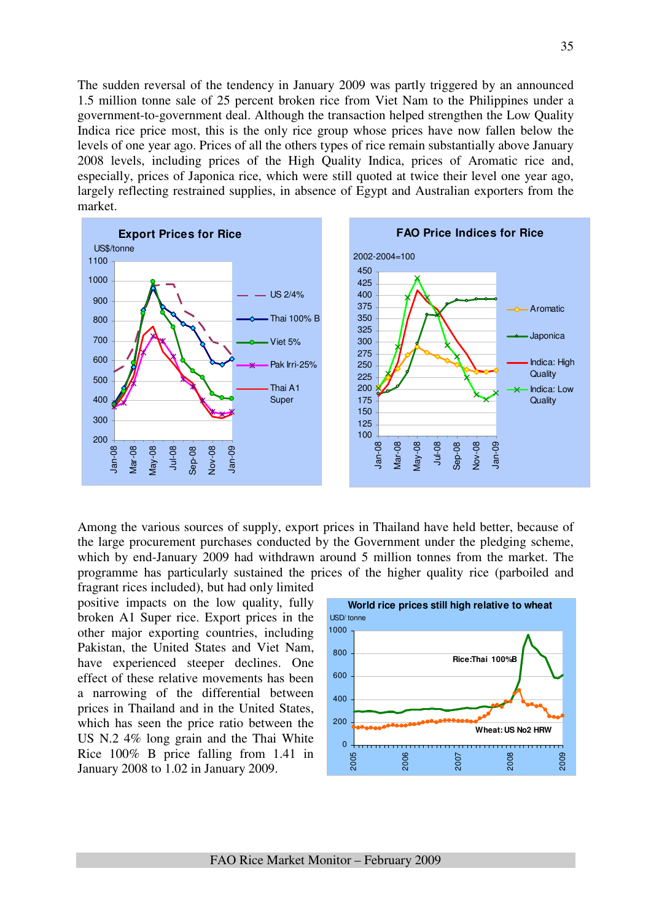The sudden reversal of the tendency in January 2009 was partly triggered by an announced 1.5 million tonne sale of 25 percent broken rice from Viet Nam to the Philippines under a government-to-government deal. Although the transaction helped strengthen the Low Quality Indica rice price most, this is the only rice group whose prices have now fallen below the levels of one year ago. Prices of all the others types of rice remain substantially above January 2008 levels, including prices of the High Quality Indica, prices of Aromatic rice and, especially, prices of Japonica rice, which were still quoted at twice their level one year ago, largely reflecting restrained supplies, in absence of Egypt and Australian exporters from the market.



Among the various sources of supply, export prices in Thailand have held better, because of the large procurement purchases conducted by the Government under the pledging scheme, which by end-January 2009 had withdrawn around 5 million tonnes from the market. The programme has particularly sustained the prices of the higher quality rice (parboiled and

fragrant rices included), but had only limited positive impacts on the low quality, fully broken A1 Super rice. Export prices in the other major exporting countries, including Pakistan, the United States and Viet Nam, have experienced steeper declines. One effect of these relative movements has been a narrowing of the differential between prices in Thailand and in the United States, which has seen the price ratio between the US N.2 4% long grain and the Thai White Rice 100% B price falling from 1.41 in January 2008 to 1.02 in January 2009.

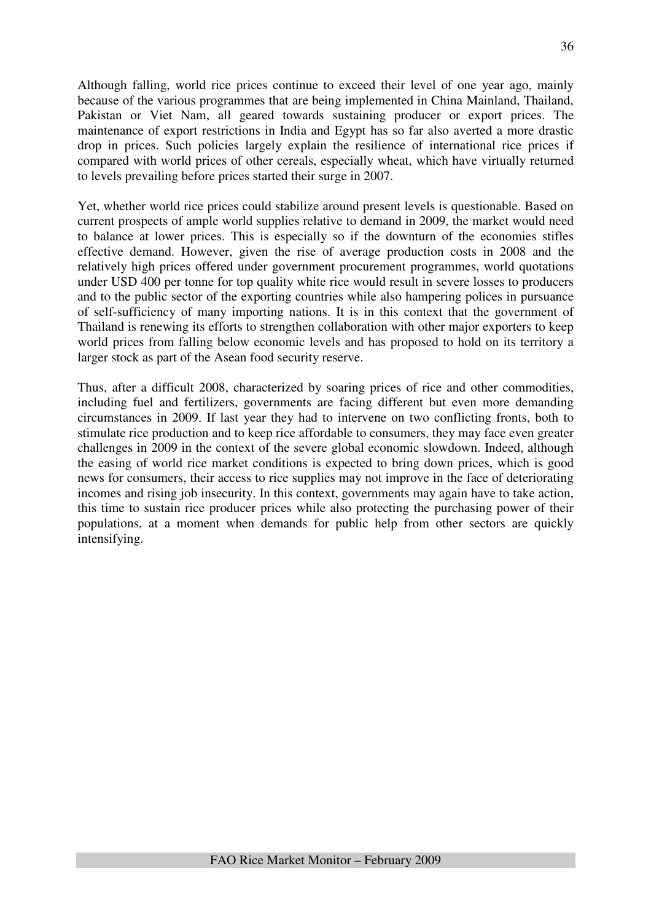Although falling, world rice prices continue to exceed their level of one year ago, mainly because of the various programmes that are being implemented in China Mainland, Thailand, Pakistan or Viet Nam, all geared towards sustaining producer or export prices. The maintenance of export restrictions in India and Egypt has so far also averted a more drastic drop in prices. Such policies largely explain the resilience of international rice prices if compared with world prices of other cereals, especially wheat, which have virtually returned to levels prevailing before prices started their surge in 2007.

Yet, whether world rice prices could stabilize around present levels is questionable. Based on current prospects of ample world supplies relative to demand in 2009, the market would need to balance at lower prices. This is especially so if the downturn of the economies stifles effective demand. However, given the rise of average production costs in 2008 and the relatively high prices offered under government procurement programmes, world quotations under USD 400 per tonne for top quality white rice would result in severe losses to producers and to the public sector of the exporting countries while also hampering polices in pursuance of self-sufficiency of many importing nations. It is in this context that the government of Thailand is renewing its efforts to strengthen collaboration with other major exporters to keep world prices from falling below economic levels and has proposed to hold on its territory a larger stock as part of the Asean food security reserve.

Thus, after a difficult 2008, characterized by soaring prices of rice and other commodities, including fuel and fertilizers, governments are facing different but even more demanding circumstances in 2009. If last year they had to intervene on two conflicting fronts, both to stimulate rice production and to keep rice affordable to consumers, they may face even greater challenges in 2009 in the context of the severe global economic slowdown. Indeed, although the easing of world rice market conditions is expected to bring down prices, which is good news for consumers, their access to rice supplies may not improve in the face of deteriorating incomes and rising job insecurity. In this context, governments may again have to take action, this time to sustain rice producer prices while also protecting the purchasing power of their populations, at a moment when demands for public help from other sectors are quickly intensifying.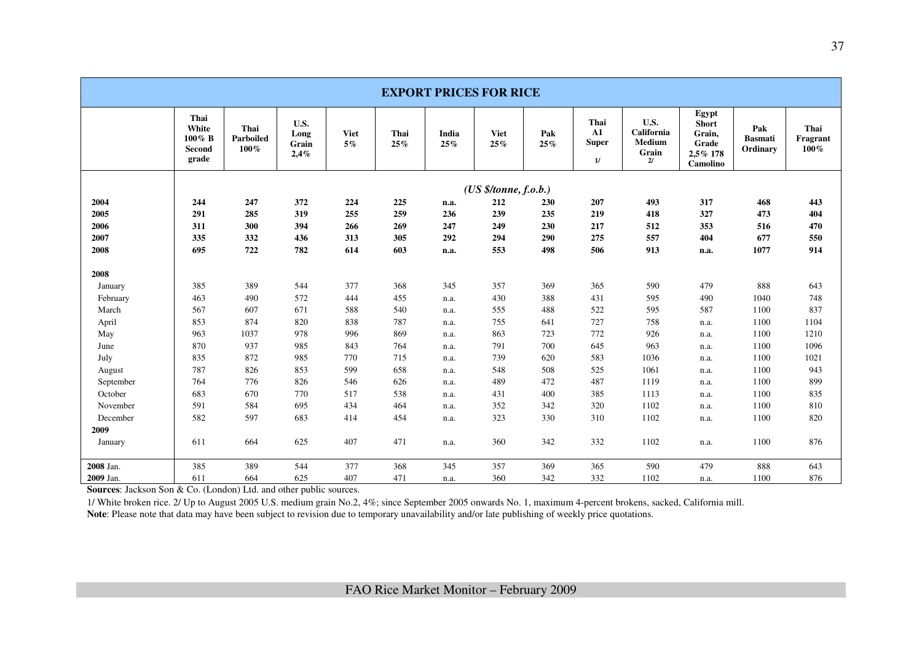| <b>EXPORT PRICES FOR RICE</b> |                                               |                              |                               |                      |             |              |                    |            |                                          |                                             |                                                                  |                                   |                          |
|-------------------------------|-----------------------------------------------|------------------------------|-------------------------------|----------------------|-------------|--------------|--------------------|------------|------------------------------------------|---------------------------------------------|------------------------------------------------------------------|-----------------------------------|--------------------------|
|                               | Thai<br>White<br>$100\%$ B<br>Second<br>grade | Thai<br>Parboiled<br>$100\%$ | U.S.<br>Long<br>Grain<br>2,4% | <b>Viet</b><br>$5\%$ | Thai<br>25% | India<br>25% | <b>Viet</b><br>25% | Pak<br>25% | Thai<br>${\bf A1}$<br><b>Super</b><br>1/ | U.S.<br>California<br>Medium<br>Grain<br>2l | Egypt<br><b>Short</b><br>Grain,<br>Grade<br>2,5% 178<br>Camolino | Pak<br><b>Basmati</b><br>Ordinary | Thai<br>Fragrant<br>100% |
|                               | (US \$/tonne, f.o.b.)                         |                              |                               |                      |             |              |                    |            |                                          |                                             |                                                                  |                                   |                          |
| 2004                          | 244                                           | 247                          | 372                           | 224                  | 225         | n.a.         | 212                | 230        | 207                                      | 493                                         | 317                                                              | 468                               | 443                      |
| 2005                          | 291                                           | 285                          | 319                           | 255                  | 259         | 236          | 239                | 235        | 219                                      | 418                                         | 327                                                              | 473                               | 404                      |
| 2006                          | 311                                           | 300                          | 394                           | 266                  | 269         | 247          | 249                | 230        | 217                                      | 512                                         | 353                                                              | 516                               | 470                      |
| 2007                          | 335                                           | 332                          | 436                           | 313                  | 305         | 292          | 294                | 290        | 275                                      | 557                                         | 404                                                              | 677                               | 550                      |
| 2008                          | 695                                           | 722                          | 782                           | 614                  | 603         | n.a.         | 553                | 498        | 506                                      | 913                                         | n.a.                                                             | 1077                              | 914                      |
| 2008                          |                                               |                              |                               |                      |             |              |                    |            |                                          |                                             |                                                                  |                                   |                          |
| January                       | 385                                           | 389                          | 544                           | 377                  | 368         | 345          | 357                | 369        | 365                                      | 590                                         | 479                                                              | 888                               | 643                      |
| February                      | 463                                           | 490                          | 572                           | 444                  | 455         | n.a.         | 430                | 388        | 431                                      | 595                                         | 490                                                              | 1040                              | 748                      |
| March                         | 567                                           | 607                          | 671                           | 588                  | 540         | n.a.         | 555                | 488        | 522                                      | 595                                         | 587                                                              | 1100                              | 837                      |
| April                         | 853                                           | 874                          | 820                           | 838                  | 787         | n.a.         | 755                | 641        | 727                                      | 758                                         | n.a.                                                             | 1100                              | 1104                     |
| May                           | 963                                           | 1037                         | 978                           | 996                  | 869         | n.a.         | 863                | 723        | 772                                      | 926                                         | n.a.                                                             | 1100                              | 1210                     |
| June                          | 870                                           | 937                          | 985                           | 843                  | 764         | n.a.         | 791                | 700        | 645                                      | 963                                         | n.a.                                                             | 1100                              | 1096                     |
| July                          | 835                                           | 872                          | 985                           | 770                  | 715         | n.a.         | 739                | 620        | 583                                      | 1036                                        | n.a.                                                             | 1100                              | 1021                     |
| August                        | 787                                           | 826                          | 853                           | 599                  | 658         | n.a.         | 548                | 508        | 525                                      | 1061                                        | n.a.                                                             | 1100                              | 943                      |
| September                     | 764                                           | 776                          | 826                           | 546                  | 626         | n.a.         | 489                | 472        | 487                                      | 1119                                        | n.a.                                                             | 1100                              | 899                      |
| October                       | 683                                           | 670                          | 770                           | 517                  | 538         | n.a.         | 431                | 400        | 385                                      | 1113                                        | n.a.                                                             | 1100                              | 835                      |
| November                      | 591                                           | 584                          | 695                           | 434                  | 464         | n.a.         | 352                | 342        | 320                                      | 1102                                        | n.a.                                                             | 1100                              | 810                      |
| December                      | 582                                           | 597                          | 683                           | 414                  | 454         | n.a.         | 323                | 330        | 310                                      | 1102                                        | n.a.                                                             | 1100                              | 820                      |
| 2009                          |                                               |                              |                               |                      |             |              |                    |            |                                          |                                             |                                                                  |                                   |                          |
| January                       | 611                                           | 664                          | 625                           | 407                  | 471         | n.a.         | 360                | 342        | 332                                      | 1102                                        | n.a.                                                             | 1100                              | 876                      |
| 2008 Jan.                     | 385                                           | 389                          | 544                           | 377                  | 368         | 345          | 357                | 369        | 365                                      | 590                                         | 479                                                              | 888                               | 643                      |
| 2009 Jan.                     | 611                                           | 664                          | 625                           | 407                  | 471         | n.a.         | 360                | 342        | 332                                      | 1102                                        | n.a.                                                             | 1100                              | 876                      |

**Sources**: Jackson Son & Co. (London) Ltd. and other public sources.

1/ White broken rice. 2/ Up to August 2005 U.S. medium grain No.2, 4%; since September 2005 onwards No. 1, maximum 4-percent brokens, sacked, California mill.

Note: Please note that data may have been subject to revision due to temporary unavailability and/or late publishing of weekly price quotations.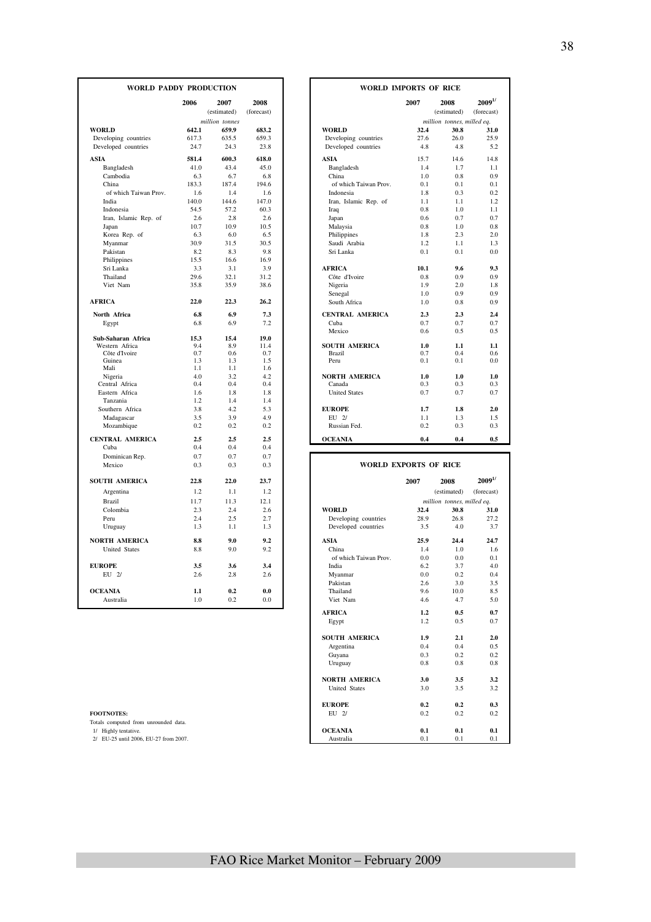| <b>WORLD PADDY PRODUCTION</b>               |               |                     |                    |                                             | <b>WORLD IMPORTS OF RICE</b> |                            |                           |  |  |
|---------------------------------------------|---------------|---------------------|--------------------|---------------------------------------------|------------------------------|----------------------------|---------------------------|--|--|
|                                             | 2006          | 2007<br>(estimated) | 2008<br>(forecast) |                                             | 2007                         | 2008<br>(estimated)        | $2009^{1/}$<br>(forecast) |  |  |
|                                             |               | million tonnes      |                    |                                             |                              | million tonnes, milled eq. |                           |  |  |
| <b>WORLD</b>                                | 642.1         | 659.9               | 683.2              | <b>WORLD</b>                                | 32.4                         | 30.8                       | 31.0                      |  |  |
| Developing countries<br>Developed countries | 617.3<br>24.7 | 635.5<br>24.3       | 659.3<br>23.8      | Developing countries<br>Developed countries | 27.6<br>4.8                  | 26.0<br>4.8                | 25.9<br>5.2               |  |  |
| <b>ASIA</b>                                 | 581.4         | 600.3               | 618.0              | <b>ASIA</b>                                 | 15.7                         | 14.6                       | 14.8                      |  |  |
| Bangladesh                                  | 41.0          | 43.4                | 45.0               | Bangladesh                                  | 1.4                          | 1.7                        | 1.1                       |  |  |
| Cambodia                                    | 6.3           | 6.7                 | 6.8                | China                                       | 1.0                          | 0.8                        | 0.9                       |  |  |
| China                                       | 183.3         | 187.4               | 194.6              | of which Taiwan Prov.                       | 0.1                          | 0.1                        | 0.1                       |  |  |
| of which Taiwan Prov.                       | 1.6           | 1.4                 | 1.6                | Indonesia                                   | 1.8                          | 0.3                        | 0.2                       |  |  |
| India                                       | 140.0         | 144.6               | 147.0              | Iran, Islamic Rep. of                       | 1.1                          | 1.1                        | 1.2                       |  |  |
| Indonesia                                   | 54.5          | 57.2                | 60.3               | Iraq                                        | 0.8                          | 1.0                        | 1.1                       |  |  |
| Iran, Islamic Rep. of                       | 2.6           | 2.8                 | 2.6                | Japan                                       | 0.6                          | 0.7                        | 0.7                       |  |  |
| Japan                                       | 10.7          | 10.9                | 10.5               | Malaysia                                    | 0.8                          | 1.0                        | 0.8                       |  |  |
| Korea Rep. of                               | 6.3           | 6.0                 | 6.5                | Philippines                                 | 1.8                          | 2.3                        | 2.0                       |  |  |
| Myanmar                                     | 30.9          | 31.5                | 30.5               | Saudi Arabia                                | 1.2                          | 1.1                        | 1.3                       |  |  |
| Pakistan                                    | 8.2           | 8.3                 | 9.8                | Sri Lanka                                   | 0.1                          | 0.1                        | 0.0                       |  |  |
| Philippines                                 | 15.5          | 16.6                | 16.9               |                                             |                              |                            |                           |  |  |
| Sri Lanka                                   | 3.3           | 3.1                 | 3.9                | <b>AFRICA</b>                               | 10.1                         | 9.6                        | 9.3                       |  |  |
| Thailand                                    | 29.6          | 32.1                | 31.2               | Côte d'Ivoire                               | 0.8                          | 0.9                        | 0.9                       |  |  |
| Viet Nam                                    | 35.8          | 35.9                | 38.6               | Nigeria                                     | 1.9                          | 2.0                        | 1.8                       |  |  |
|                                             |               |                     |                    | Senegal                                     | 1.0                          | 0.9                        | 0.9                       |  |  |
| <b>AFRICA</b>                               | 22.0          | 22.3                | 26.2               | South Africa                                | 1.0                          | 0.8                        | 0.9                       |  |  |
| North Africa                                | 6.8           | 6.9                 | 7.3                | <b>CENTRAL AMERICA</b>                      | 2.3                          | 2.3                        | 2.4                       |  |  |
| Egypt                                       | 6.8           | 6.9                 | 7.2                | Cuba                                        | 0.7                          | 0.7                        | 0.7                       |  |  |
|                                             |               |                     |                    | Mexico                                      | 0.6                          | 0.5                        | 0.5                       |  |  |
| Sub-Saharan Africa                          | 15.3          | 15.4                | 19.0               |                                             |                              |                            |                           |  |  |
| Western Africa                              | 9.4           | 8.9                 | 11.4               | <b>SOUTH AMERICA</b>                        | 1.0                          | 1.1                        | 1.1                       |  |  |
| Côte d'Ivoire                               | 0.7           | 0.6                 | 0.7                | <b>Brazil</b>                               | 0.7                          | 0.4                        | 0.6                       |  |  |
| Guinea                                      | 1.3<br>1.1    | 1.3<br>1.1          | 1.5<br>1.6         | Peru                                        | 0.1                          | 0.1                        | 0.0                       |  |  |
| Mali                                        | 4.0           | 3.2                 | 4.2                | <b>NORTH AMERICA</b>                        | 1.0                          | 1.0                        | 1.0                       |  |  |
| Nigeria<br>Central Africa                   | 0.4           | 0.4                 | 0.4                | Canada                                      | 0.3                          | 0.3                        | 0.3                       |  |  |
| Eastern Africa                              | 1.6           | 1.8                 | 1.8                | <b>United States</b>                        | 0.7                          | 0.7                        | 0.7                       |  |  |
| Tanzania                                    | 1.2           | 1.4                 | 1.4                |                                             |                              |                            |                           |  |  |
| Southern Africa                             | 3.8           | 4.2                 | 5.3                | <b>EUROPE</b>                               | 1.7                          | 1.8                        | 2.0                       |  |  |
|                                             |               | 3.9                 | 4.9                | EU 2/                                       | 1.1                          |                            |                           |  |  |
| Madagascar                                  | 3.5<br>0.2    | 0.2                 | 0.2                | Russian Fed.                                | 0.2                          | 1.3<br>0.3                 | 1.5<br>0.3                |  |  |
| Mozambique                                  |               |                     |                    |                                             |                              |                            |                           |  |  |
| <b>CENTRAL AMERICA</b>                      | 2.5           | 2.5                 | 2.5                | <b>OCEANIA</b>                              | 0.4                          | 0.4                        | 0.5                       |  |  |
| Cuba                                        | 0.4           | 0.4                 | 0.4                |                                             |                              |                            |                           |  |  |
| Dominican Rep.                              | 0.7           | 0.7                 | 0.7                |                                             |                              |                            |                           |  |  |
| Mexico                                      | 0.3           | 0.3                 | 0.3                |                                             | <b>WORLD EXPORTS OF RICE</b> |                            |                           |  |  |
| <b>SOUTH AMERICA</b>                        | 22.8          | 22.0                | 23.7               |                                             | 2007                         | 2008                       | $2009^{1/}$               |  |  |
| Argentina                                   | 1.2           | 1.1                 | 1.2                |                                             |                              | (estimated)                | (forecast)                |  |  |
| Brazil                                      | 11.7          | 11.3                | 12.1               |                                             |                              | million tonnes, milled eq. |                           |  |  |
| Colombia                                    | 2.3           | 2.4                 | 2.6                | <b>WORLD</b>                                | 32.4                         | 30.8                       | 31.0                      |  |  |
| Peru                                        | 2.4           | 2.5                 | 2.7                | Developing countries                        | 28.9                         | 26.8                       | 27.2                      |  |  |
| Uruguay                                     | 1.3           | 1.1                 | 1.3                | Developed countries                         | 3.5                          | 4.0                        | 3.7                       |  |  |
| <b>NORTH AMERICA</b>                        | 8.8           | 9.0                 | 9.2                | <b>ASIA</b>                                 | 25.9                         | 24.4                       | 24.7                      |  |  |
| <b>United States</b>                        | 8.8           | 9.0                 | 9.2                | China                                       | 1.4                          | 1.0                        | 1.6                       |  |  |
|                                             |               |                     |                    | of which Taiwan Prov.                       | 0.0                          | 0.0                        | 0.1                       |  |  |
| <b>EUROPE</b>                               | 3.5           | 3.6                 | 3.4                | India                                       | 6.2                          | 3.7                        | 4.0                       |  |  |
| $EU$ 2/                                     | 2.6           | 2.8                 | 2.6                | Myanmar                                     | 0.0                          | 0.2                        | 0.4                       |  |  |
|                                             |               |                     |                    | Pakistan                                    | 2.6                          | 3.0                        | 3.5                       |  |  |
| <b>OCEANIA</b>                              | 1.1           | 0.2                 | 0.0                | Thailand                                    | 9.6                          | 10.0                       | 8.5                       |  |  |
| Australia                                   | $1.0\,$       | 0.2                 | 0.0                | Viet Nam                                    | 4.6                          | 4.7                        | 5.0                       |  |  |
|                                             |               |                     |                    |                                             |                              |                            |                           |  |  |

| <b>FOOTNOTES</b> |  |  |  |
|------------------|--|--|--|

|            | DY PRODUCTION  |            |  | <b>WORLD IMPORTS OF RICE</b> |            |                            |             |
|------------|----------------|------------|--|------------------------------|------------|----------------------------|-------------|
| 2006       | 2007           | 2008       |  |                              | 2007       | 2008                       | $2009^{1/}$ |
|            | (estimated)    | (forecast) |  |                              |            | (estimated)                | (forecast)  |
|            | million tonnes |            |  |                              |            | million tonnes, milled eq. |             |
| 642.1      | 659.9          | 683.2      |  | <b>WORLD</b>                 | 32.4       | 30.8                       | 31.0        |
| 617.3      | 635.5          | 659.3      |  | Developing countries         | 27.6       | 26.0                       | 25.9        |
| 24.7       | 24.3           | 23.8       |  | Developed countries          | 4.8        | 4.8                        | 5.2         |
| 581.4      | 600.3          | 618.0      |  | <b>ASIA</b>                  | 15.7       | 14.6                       | 14.8        |
| 41.0       | 43.4           | 45.0       |  | Bangladesh                   | 1.4        | 1.7                        | 1.1         |
| 6.3        | 6.7            | 6.8        |  | China                        | 1.0        | 0.8                        | 0.9         |
| 183.3      | 187.4          | 194.6      |  | of which Taiwan Prov.        | 0.1        | 0.1                        | 0.1         |
| 1.6        | 1.4            | 1.6        |  | Indonesia                    | 1.8        | 0.3                        | 0.2         |
| 140.0      | 144.6          | 147.0      |  | Iran, Islamic Rep. of        | 1.1        | 1.1                        | 1.2         |
| 54.5       | 57.2           | 60.3       |  | Iraq                         | 0.8        | 1.0                        | 1.1         |
| 2.6        | 2.8            | 2.6        |  | Japan                        | 0.6        | 0.7                        | 0.7         |
| 10.7       | 10.9           | 10.5       |  | Malaysia                     | 0.8        | 1.0                        | 0.8         |
| 6.3        | 6.0            | 6.5        |  | Philippines                  | 1.8        | 2.3                        | 2.0         |
| 30.9       | 31.5           | 30.5       |  | Saudi Arabia                 | 1.2        | 1.1                        | 1.3         |
| 8.2        | 8.3            | 9.8        |  | Sri Lanka                    | 0.1        | 0.1                        | 0.0         |
| 15.5       | 16.6           | 16.9       |  |                              |            |                            |             |
| 3.3        | 3.1            | 3.9        |  | <b>AFRICA</b>                | 10.1       | 9.6                        | 9.3         |
| 29.6       | 32.1           | 31.2       |  | Côte d'Ivoire                | 0.8        | 0.9                        | 0.9         |
| 35.8       | 35.9           | 38.6       |  | Nigeria                      | 1.9        | 2.0                        | 1.8         |
|            |                |            |  | Senegal                      | 1.0        | 0.9                        | 0.9         |
| 22.0       | 22.3           | 26.2       |  | South Africa                 | 1.0        | 0.8                        | 0.9         |
| 6.8        | 6.9            | 7.3        |  | <b>CENTRAL AMERICA</b>       | 2.3        | 2.3                        | 2.4         |
| 6.8        | 6.9            | 7.2        |  | Cuba                         | 0.7        | 0.7                        | 0.7         |
|            |                |            |  | Mexico                       | 0.6        | 0.5                        | 0.5         |
| 15.3       | 15.4           | 19.0       |  |                              |            |                            |             |
| 9.4        | 8.9            | 11.4       |  | <b>SOUTH AMERICA</b>         | 1.0        | 1.1                        | 1.1         |
| 0.7<br>1.3 | 0.6<br>1.3     | 0.7<br>1.5 |  | Brazil<br>Peru               | 0.7<br>0.1 | 0.4<br>0.1                 | 0.6<br>0.0  |
| 1.1        | 1.1            | 1.6        |  |                              |            |                            |             |
| 4.0        | 3.2            | 4.2        |  | <b>NORTH AMERICA</b>         | 1.0        | 1.0                        | 1.0         |
| 0.4        | 0.4            | 0.4        |  | Canada                       | 0.3        | 0.3                        | 0.3         |
| 1.6        | 1.8            | 1.8        |  | <b>United States</b>         | 0.7        | 0.7                        | 0.7         |
| 1.2        | 1.4            | 1.4        |  |                              |            |                            |             |
| 3.8        | 4.2            | 5.3        |  | <b>EUROPE</b>                | 1.7        | 1.8                        | 2.0         |
| 3.5        | 3.9            | 4.9        |  | $EII$ $2I$                   | 1.1        | 1.3                        | 1.5         |
| 0.2        | 0.2            | 0.2        |  | Russian Fed.                 | 0.2        | 0.3                        | 0.3         |
| 2.5        | 2.5            | 2.5        |  | <b>OCEANIA</b>               | 0.4        | 0.4                        | 0.5         |
| 0.4        | 0.4            | 0.4        |  |                              |            |                            |             |

| Mexico                                | 0.3  | 0.3  | 0.3  |                       | <b>WORLD EXPORTS OF RICE</b> |                            |              |
|---------------------------------------|------|------|------|-----------------------|------------------------------|----------------------------|--------------|
| <b>SOUTH AMERICA</b>                  | 22.8 | 22.0 | 23.7 |                       | 2007                         | 2008                       | $2009^{1/2}$ |
| Argentina                             | 1.2  | 1.1  | 1.2  |                       |                              | (estimated)                | (forecast)   |
| Brazil                                | 11.7 | 11.3 | 12.1 |                       |                              | million tonnes, milled eq. |              |
| Colombia                              | 2.3  | 2.4  | 2.6  | <b>WORLD</b>          | 32.4                         | 30.8                       | 31.0         |
| Peru                                  | 2.4  | 2.5  | 2.7  | Developing countries  | 28.9                         | 26.8                       | 27.2         |
| Uruguay                               | 1.3  | 1.1  | 1.3  | Developed countries   | 3.5                          | 4.0                        | 3.7          |
| NORTH AMERICA                         | 8.8  | 9.0  | 9.2  | <b>ASIA</b>           | 25.9                         | 24.4                       | 24.7         |
| <b>United States</b>                  | 8.8  | 9.0  | 9.2  | China                 | 1.4                          | 1.0                        | 1.6          |
|                                       |      |      |      | of which Taiwan Prov. | 0.0                          | 0.0                        | 0.1          |
| <b>EUROPE</b>                         | 3.5  | 3.6  | 3.4  | India                 | 6.2                          | 3.7                        | 4.0          |
| EU 2/                                 | 2.6  | 2.8  | 2.6  | Myanmar               | 0.0                          | 0.2                        | 0.4          |
|                                       |      |      |      | Pakistan              | 2.6                          | 3.0                        | 3.5          |
| <b>OCEANIA</b>                        | 1.1  | 0.2  | 0.0  | Thailand              | 9.6                          | 10.0                       | 8.5          |
| Australia                             | 1.0  | 0.2  | 0.0  | Viet Nam              | 4.6                          | 4.7                        | 5.0          |
|                                       |      |      |      | <b>AFRICA</b>         | 1.2                          | 0.5                        | 0.7          |
|                                       |      |      |      | Egypt                 | 1.2                          | 0.5                        | 0.7          |
|                                       |      |      |      | <b>SOUTH AMERICA</b>  | 1.9                          | 2.1                        | 2.0          |
|                                       |      |      |      | Argentina             | 0.4                          | 0.4                        | 0.5          |
|                                       |      |      |      | Guyana                | 0.3                          | 0.2                        | 0.2          |
|                                       |      |      |      | Uruguay               | 0.8                          | 0.8                        | 0.8          |
|                                       |      |      |      | <b>NORTH AMERICA</b>  | 3.0                          | 3.5                        | 3.2          |
|                                       |      |      |      | <b>United States</b>  | 3.0                          | 3.5                        | 3.2          |
|                                       |      |      |      | <b>EUROPE</b>         | 0.2                          | 0.2                        | 0.3          |
| <b>FOOTNOTES:</b>                     |      |      |      | EU 2/                 | 0.2                          | 0.2                        | 0.2          |
| Totals computed from unrounded data.  |      |      |      |                       |                              |                            |              |
| 1/ Highly tentative.                  |      |      |      | <b>OCEANIA</b>        | 0.1                          | 0.1                        | 0.1          |
| 2/ EU-25 until 2006, EU-27 from 2007. |      |      |      | Australia             | 0.1                          | 0.1                        | 0.1          |